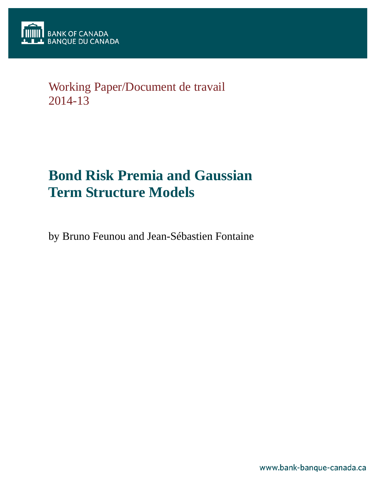

# Working Paper/Document de travail 2014-13

# **Bond Risk Premia and Gaussian Term Structure Models**

by Bruno Feunou and Jean-Sébastien Fontaine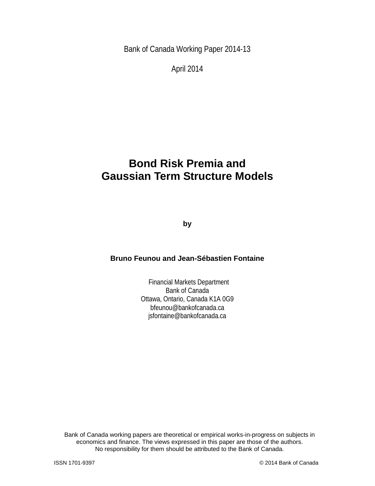Bank of Canada Working Paper 2014-13

April 2014

# **Bond Risk Premia and Gaussian Term Structure Models**

**by**

### **Bruno Feunou and Jean-Sébastien Fontaine**

Financial Markets Department Bank of Canada Ottawa, Ontario, Canada K1A 0G9 bfeunou@bankofcanada.ca jsfontaine@bankofcanada.ca

Bank of Canada working papers are theoretical or empirical works-in-progress on subjects in economics and finance. The views expressed in this paper are those of the authors. No responsibility for them should be attributed to the Bank of Canada.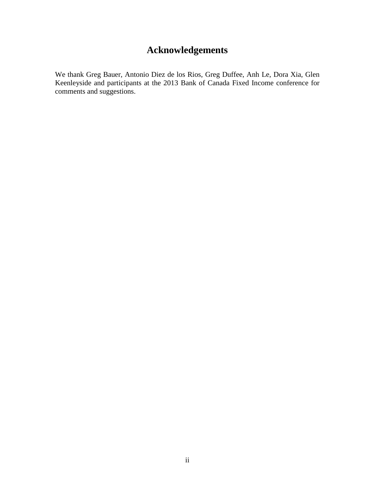# **Acknowledgements**

We thank Greg Bauer, Antonio Diez de los Rios, Greg Duffee, Anh Le, Dora Xia, Glen Keenleyside and participants at the 2013 Bank of Canada Fixed Income conference for comments and suggestions.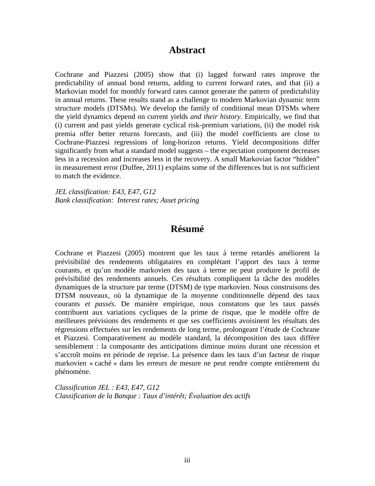### **Abstract**

Cochrane and Piazzesi (2005) show that (i) lagged forward rates improve the predictability of annual bond returns, adding to current forward rates, and that (ii) a Markovian model for monthly forward rates cannot generate the pattern of predictability in annual returns. These results stand as a challenge to modern Markovian dynamic term structure models (DTSMs). We develop the family of conditional mean DTSMs where the yield dynamics depend on current yields *and their history*. Empirically, we find that (i) current and past yields generate cyclical risk-premium variations, (ii) the model risk premia offer better returns forecasts, and (iii) the model coefficients are close to Cochrane-Piazzesi regressions of long-horizon returns. Yield decompositions differ significantly from what a standard model suggests – the expectation component decreases less in a recession and increases less in the recovery. A small Markovian factor "hidden" in measurement error (Duffee, 2011) explains some of the differences but is not sufficient to match the evidence.

*JEL classification: E43, E47, G12 Bank classification: Interest rates; Asset pricing*

### **Résumé**

Cochrane et Piazzesi (2005) montrent que les taux à terme retardés améliorent la prévisibilité des rendements obligataires en complétant l'apport des taux à terme courants, et qu'un modèle markovien des taux à terme ne peut produire le profil de prévisibilité des rendements annuels. Ces résultats compliquent la tâche des modèles dynamiques de la structure par terme (DTSM) de type markovien. Nous construisons des DTSM nouveaux, où la dynamique de la moyenne conditionnelle dépend des taux courants *et passés*. De manière empirique, nous constatons que les taux passés contribuent aux variations cycliques de la prime de risque, que le modèle offre de meilleures prévisions des rendements et que ses coefficients avoisinent les résultats des régressions effectuées sur les rendements de long terme, prolongeant l'étude de Cochrane et Piazzesi. Comparativement au modèle standard, la décomposition des taux diffère sensiblement : la composante des anticipations diminue moins durant une récession et s'accroît moins en période de reprise. La présence dans les taux d'un facteur de risque markovien « caché » dans les erreurs de mesure ne peut rendre compte entièrement du phénomène.

*Classification JEL : E43, E47, G12 Classification de la Banque : Taux d'intérêt; Évaluation des actifs*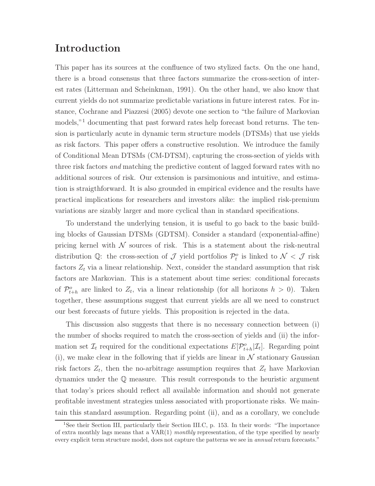# Introduction

This paper has its sources at the confluence of two stylized facts. On the one hand, there is a broad consensus that three factors summarize the cross-section of interest rates (Litterman and Scheinkman, 1991). On the other hand, we also know that current yields do not summarize predictable variations in future interest rates. For instance, Cochrane and Piazzesi (2005) devote one section to "the failure of Markovian models,"<sup>1</sup> documenting that past forward rates help forecast bond returns. The tension is particularly acute in dynamic term structure models (DTSMs) that use yields as risk factors. This paper offers a constructive resolution. We introduce the family of Conditional Mean DTSMs (CM-DTSM), capturing the cross-section of yields with three risk factors and matching the predictive content of lagged forward rates with no additional sources of risk. Our extension is parsimonious and intuitive, and estimation is straigthforward. It is also grounded in empirical evidence and the results have practical implications for researchers and investors alike: the implied risk-premium variations are sizably larger and more cyclical than in standard specifications.

To understand the underlying tension, it is useful to go back to the basic building blocks of Gaussian DTSMs (GDTSM). Consider a standard (exponential-affine) pricing kernel with  $\mathcal N$  sources of risk. This is a statement about the risk-neutral distribution Q: the cross-section of  $\mathcal J$  yield portfolios  $\mathcal P_t^o$  is linked to  $\mathcal N < \mathcal J$  risk factors  $Z_t$  via a linear relationship. Next, consider the standard assumption that risk factors are Markovian. This is a statement about time series: conditional forecasts of  $\mathcal{P}^o_{t+h}$  are linked to  $Z_t$ , via a linear relationship (for all horizons  $h > 0$ ). Taken together, these assumptions suggest that current yields are all we need to construct our best forecasts of future yields. This proposition is rejected in the data.

This discussion also suggests that there is no necessary connection between (i) the number of shocks required to match the cross-section of yields and (ii) the information set  $\mathcal{I}_t$  required for the conditional expectations  $E[P_{t+h}^o|\mathcal{I}_t]$ . Regarding point (i), we make clear in the following that if yields are linear in  $\mathcal N$  stationary Gaussian risk factors  $Z_t$ , then the no-arbitrage assumption requires that  $Z_t$  have Markovian dynamics under the Q measure. This result corresponds to the heuristic argument that today's prices should reflect all available information and should not generate profitable investment strategies unless associated with proportionate risks. We maintain this standard assumption. Regarding point (ii), and as a corollary, we conclude

<sup>&</sup>lt;sup>1</sup>See their Section III, particularly their Section III.C, p. 153. In their words: "The importance of extra monthly lags means that a  $VAR(1)$  monthly representation, of the type specified by nearly every explicit term structure model, does not capture the patterns we see in *annual* return forecasts."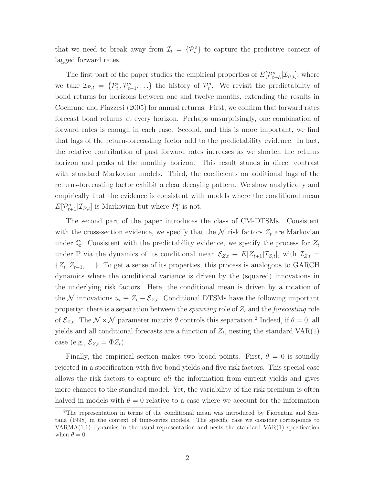that we need to break away from  $\mathcal{I}_t = \{ \mathcal{P}_t^o \}$  to capture the predictive content of lagged forward rates.

The first part of the paper studies the empirical properties of  $E[P_{t+h}^o | \mathcal{I}_{P,t}]$ , where we take  $\mathcal{I}_{\mathcal{P},t} = \{\mathcal{P}_t^o, \mathcal{P}_{t-1}^o, \ldots\}$  the history of  $\mathcal{P}_t^o$ . We revisit the predictability of bond returns for horizons between one and twelve months, extending the results in Cochrane and Piazzesi (2005) for annual returns. First, we confirm that forward rates forecast bond returns at every horizon. Perhaps unsurprisingly, one combination of forward rates is enough in each case. Second, and this is more important, we find that lags of the return-forecasting factor add to the predictability evidence. In fact, the relative contribution of past forward rates increases as we shorten the returns horizon and peaks at the monthly horizon. This result stands in direct contrast with standard Markovian models. Third, the coefficients on additional lags of the returns-forecasting factor exhibit a clear decaying pattern. We show analytically and empirically that the evidence is consistent with models where the conditional mean  $E[P_{t+1}^o | \mathcal{I}_{\mathcal{P},t}]$  is Markovian but where  $\mathcal{P}_t^o$  is not.

The second part of the paper introduces the class of CM-DTSMs. Consistent with the cross-section evidence, we specify that the  $N$  risk factors  $Z_t$  are Markovian under  $\mathbb{Q}$ . Consistent with the predictability evidence, we specify the process for  $Z_t$ under P via the dynamics of its conditional mean  $\mathcal{E}_{Z,t} \equiv E[Z_{t+1}|\mathcal{I}_{Z,t}]$ , with  $\mathcal{I}_{Z,t}$  =  $\{Z_t, Z_{t-1}, \ldots\}$ . To get a sense of its properties, this process is analogous to GARCH dynamics where the conditional variance is driven by the (squared) innovations in the underlying risk factors. Here, the conditional mean is driven by a rotation of the N innovations  $u_t \equiv Z_t - \mathcal{E}_{Z,t}$ . Conditional DTSMs have the following important property: there is a separation between the *spanning* role of  $Z_t$  and the *forecasting* role of  $\mathcal{E}_{Z,t}$ . The  $\mathcal{N} \times \mathcal{N}$  parameter matrix  $\theta$  controls this separation.<sup>2</sup> Indeed, if  $\theta = 0$ , all yields and all conditional forecasts are a function of  $Z_t$ , nesting the standard  $VAR(1)$ case (e.g.,  $\mathcal{E}_{Z,t} = \Phi Z_t$ ).

Finally, the empirical section makes two broad points. First,  $\theta = 0$  is soundly rejected in a specification with five bond yields and five risk factors. This special case allows the risk factors to capture all the information from current yields and gives more chances to the standard model. Yet, the variability of the risk premium is often halved in models with  $\theta = 0$  relative to a case where we account for the information

<sup>2</sup>The representation in terms of the conditional mean was introduced by Fiorentini and Sentana (1998) in the context of time-series models. The specific case we consider corresponds to  $VARMA(1,1)$  dynamics in the usual representation and nests the standard  $VAR(1)$  specification when  $\theta = 0$ .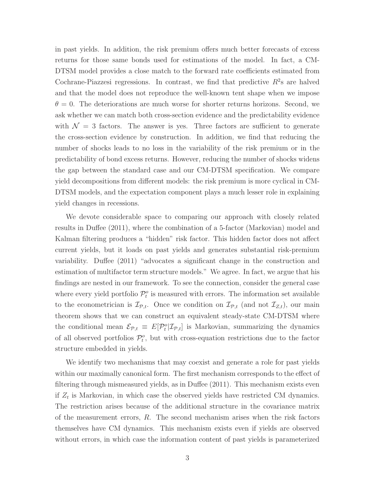in past yields. In addition, the risk premium offers much better forecasts of excess returns for those same bonds used for estimations of the model. In fact, a CM-DTSM model provides a close match to the forward rate coefficients estimated from Cochrane-Piazzesi regressions. In contrast, we find that predictive  $R^2$ s are halved and that the model does not reproduce the well-known tent shape when we impose  $\theta = 0$ . The deteriorations are much worse for shorter returns horizons. Second, we ask whether we can match both cross-section evidence and the predictability evidence with  $\mathcal{N} = 3$  factors. The answer is yes. Three factors are sufficient to generate the cross-section evidence by construction. In addition, we find that reducing the number of shocks leads to no loss in the variability of the risk premium or in the predictability of bond excess returns. However, reducing the number of shocks widens the gap between the standard case and our CM-DTSM specification. We compare yield decompositions from different models: the risk premium is more cyclical in CM-DTSM models, and the expectation component plays a much lesser role in explaining yield changes in recessions.

We devote considerable space to comparing our approach with closely related results in Duffee (2011), where the combination of a 5-factor (Markovian) model and Kalman filtering produces a "hidden" risk factor. This hidden factor does not affect current yields, but it loads on past yields and generates substantial risk-premium variability. Duffee (2011) "advocates a significant change in the construction and estimation of multifactor term structure models." We agree. In fact, we argue that his findings are nested in our framework. To see the connection, consider the general case where every yield portfolio  $\mathcal{P}_t^o$  is measured with errors. The information set available to the econometrician is  $\mathcal{I}_{\mathcal{P},t}$ . Once we condition on  $\mathcal{I}_{\mathcal{P},t}$  (and not  $\mathcal{I}_{Z,t}$ ), our main theorem shows that we can construct an equivalent steady-state CM-DTSM where the conditional mean  $\mathcal{E}_{\mathcal{P},t} \equiv E[\mathcal{P}_t^o | \mathcal{I}_{\mathcal{P},t}]$  is Markovian, summarizing the dynamics of all observed portfolios  $\mathcal{P}_t^o$ , but with cross-equation restrictions due to the factor structure embedded in yields.

We identify two mechanisms that may coexist and generate a role for past yields within our maximally canonical form. The first mechanism corresponds to the effect of filtering through mismeasured yields, as in Duffee (2011). This mechanism exists even if  $Z_t$  is Markovian, in which case the observed yields have restricted CM dynamics. The restriction arises because of the additional structure in the covariance matrix of the measurement errors, R. The second mechanism arises when the risk factors themselves have CM dynamics. This mechanism exists even if yields are observed without errors, in which case the information content of past yields is parameterized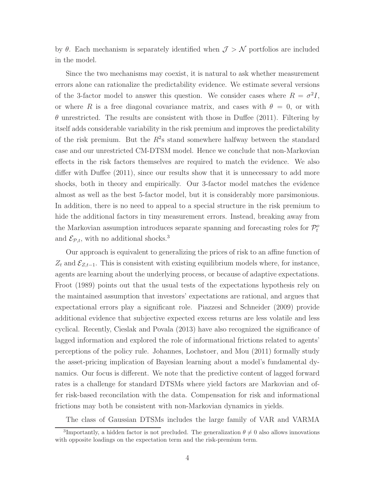by  $\theta$ . Each mechanism is separately identified when  $\mathcal{J} > \mathcal{N}$  portfolios are included in the model.

Since the two mechanisms may coexist, it is natural to ask whether measurement errors alone can rationalize the predictability evidence. We estimate several versions of the 3-factor model to answer this question. We consider cases where  $R = \sigma^2 I$ , or where R is a free diagonal covariance matrix, and cases with  $\theta = 0$ , or with  $\theta$  unrestricted. The results are consistent with those in Duffee (2011). Filtering by itself adds considerable variability in the risk premium and improves the predictability of the risk premium. But the  $R^2$ s stand somewhere halfway between the standard case and our unrestricted CM-DTSM model. Hence we conclude that non-Markovian effects in the risk factors themselves are required to match the evidence. We also differ with Duffee (2011), since our results show that it is unnecessary to add more shocks, both in theory and empirically. Our 3-factor model matches the evidence almost as well as the best 5-factor model, but it is considerably more parsimonious. In addition, there is no need to appeal to a special structure in the risk premium to hide the additional factors in tiny measurement errors. Instead, breaking away from the Markovian assumption introduces separate spanning and forecasting roles for  $\mathcal{P}_t^o$ and  $\mathcal{E}_{\mathcal{P},t}$ , with no additional shocks.<sup>3</sup>

Our approach is equivalent to generalizing the prices of risk to an affine function of  $Z_t$  and  $\mathcal{E}_{Z,t-1}$ . This is consistent with existing equilibrium models where, for instance, agents are learning about the underlying process, or because of adaptive expectations. Froot (1989) points out that the usual tests of the expectations hypothesis rely on the maintained assumption that investors' expectations are rational, and argues that expectational errors play a significant role. Piazzesi and Schneider (2009) provide additional evidence that subjective expected excess returns are less volatile and less cyclical. Recently, Cieslak and Povala (2013) have also recognized the significance of lagged information and explored the role of informational frictions related to agents' perceptions of the policy rule. Johannes, Lochstoer, and Mou (2011) formally study the asset-pricing implication of Bayesian learning about a model's fundamental dynamics. Our focus is different. We note that the predictive content of lagged forward rates is a challenge for standard DTSMs where yield factors are Markovian and offer risk-based reconcilation with the data. Compensation for risk and informational frictions may both be consistent with non-Markovian dynamics in yields.

The class of Gaussian DTSMs includes the large family of VAR and VARMA

<sup>&</sup>lt;sup>3</sup>Importantly, a hidden factor is not precluded. The generalization  $\theta \neq 0$  also allows innovations with opposite loadings on the expectation term and the risk-premium term.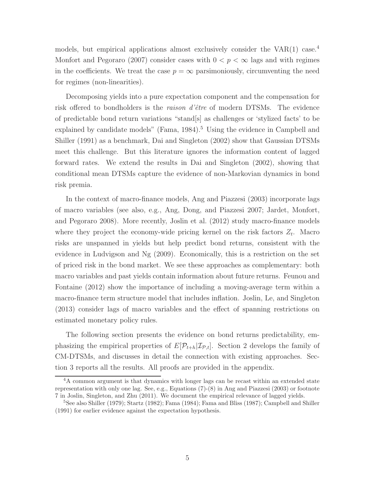models, but empirical applications almost exclusively consider the  $VAR(1)$  case.<sup>4</sup> Monfort and Pegoraro (2007) consider cases with  $0 < p < \infty$  lags and with regimes in the coefficients. We treat the case  $p = \infty$  parsimoniously, circumventing the need for regimes (non-linearities).

Decomposing yields into a pure expectation component and the compensation for risk offered to bondholders is the *raison d'être* of modern DTSMs. The evidence of predictable bond return variations "stand[s] as challenges or 'stylized facts' to be explained by candidate models" (Fama,  $1984$ ).<sup>5</sup> Using the evidence in Campbell and Shiller (1991) as a benchmark, Dai and Singleton (2002) show that Gaussian DTSMs meet this challenge. But this literature ignores the information content of lagged forward rates. We extend the results in Dai and Singleton (2002), showing that conditional mean DTSMs capture the evidence of non-Markovian dynamics in bond risk premia.

In the context of macro-finance models, Ang and Piazzesi (2003) incorporate lags of macro variables (see also, e.g., Ang, Dong, and Piazzesi 2007; Jardet, Monfort, and Pegoraro 2008). More recently, Joslin et al. (2012) study macro-finance models where they project the economy-wide pricing kernel on the risk factors  $Z_t$ . Macro risks are unspanned in yields but help predict bond returns, consistent with the evidence in Ludvigson and Ng (2009). Economically, this is a restriction on the set of priced risk in the bond market. We see these approaches as complementary: both macro variables and past yields contain information about future returns. Feunou and Fontaine (2012) show the importance of including a moving-average term within a macro-finance term structure model that includes inflation. Joslin, Le, and Singleton (2013) consider lags of macro variables and the effect of spanning restrictions on estimated monetary policy rules.

The following section presents the evidence on bond returns predictability, emphasizing the empirical properties of  $E[P_{t+h}|\mathcal{I}_{p,t}]$ . Section 2 develops the family of CM-DTSMs, and discusses in detail the connection with existing approaches. Section 3 reports all the results. All proofs are provided in the appendix.

<sup>&</sup>lt;sup>4</sup>A common argument is that dynamics with longer lags can be recast within an extended state representation with only one lag. See, e.g., Equations (7)-(8) in Ang and Piazzesi (2003) or footnote 7 in Joslin, Singleton, and Zhu (2011). We document the empirical relevance of lagged yields.

<sup>&</sup>lt;sup>5</sup>See also Shiller (1979); Startz (1982); Fama (1984); Fama and Bliss (1987); Campbell and Shiller (1991) for earlier evidence against the expectation hypothesis.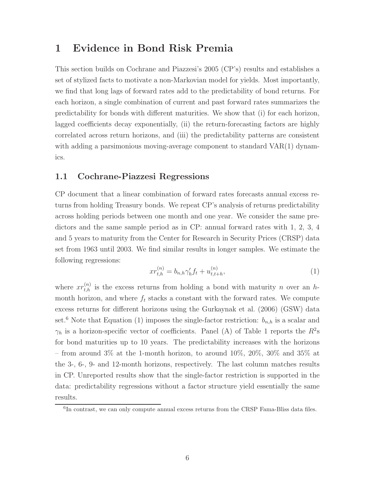## 1 Evidence in Bond Risk Premia

This section builds on Cochrane and Piazzesi's 2005 (CP's) results and establishes a set of stylized facts to motivate a non-Markovian model for yields. Most importantly, we find that long lags of forward rates add to the predictability of bond returns. For each horizon, a single combination of current and past forward rates summarizes the predictability for bonds with different maturities. We show that (i) for each horizon, lagged coefficients decay exponentially, (ii) the return-forecasting factors are highly correlated across return horizons, and (iii) the predictability patterns are consistent with adding a parsimonious moving-average component to standard  $VAR(1)$  dynamics.

### 1.1 Cochrane-Piazzesi Regressions

CP document that a linear combination of forward rates forecasts annual excess returns from holding Treasury bonds. We repeat CP's analysis of returns predictability across holding periods between one month and one year. We consider the same predictors and the same sample period as in CP: annual forward rates with 1, 2, 3, 4 and 5 years to maturity from the Center for Research in Security Prices (CRSP) data set from 1963 until 2003. We find similar results in longer samples. We estimate the following regressions:

$$
xr_{t,h}^{(n)} = b_{n,h}\gamma_h'f_t + u_{t,t+h}^{(n)},\tag{1}
$$

where  $xr_{t,h}^{(n)}$  is the excess returns from holding a bond with maturity n over an hmonth horizon, and where  $f_t$  stacks a constant with the forward rates. We compute excess returns for different horizons using the Gurkaynak et al. (2006) (GSW) data set.<sup>6</sup> Note that Equation (1) imposes the single-factor restriction:  $b_{n,h}$  is a scalar and  $\gamma_h$  is a horizon-specific vector of coefficients. Panel (A) of Table 1 reports the  $R^2$ s for bond maturities up to 10 years. The predictability increases with the horizons – from around 3% at the 1-month horizon, to around  $10\%, 20\%, 30\%$  and 35% at the 3-, 6-, 9- and 12-month horizons, respectively. The last column matches results in CP. Unreported results show that the single-factor restriction is supported in the data: predictability regressions without a factor structure yield essentially the same results.

<sup>&</sup>lt;sup>6</sup>In contrast, we can only compute annual excess returns from the CRSP Fama-Bliss data files.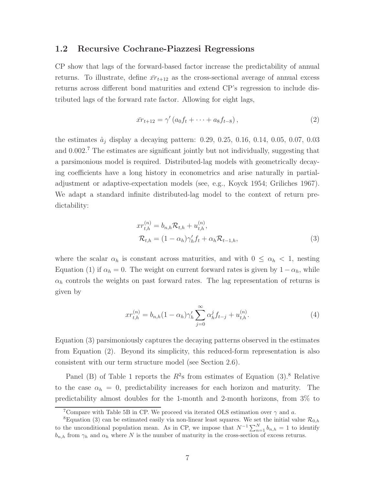### 1.2 Recursive Cochrane-Piazzesi Regressions

CP show that lags of the forward-based factor increase the predictability of annual returns. To illustrate, define  $\bar{r}_{t+12}$  as the cross-sectional average of annual excess returns across different bond maturities and extend CP's regression to include distributed lags of the forward rate factor. Allowing for eight lags,

$$
\bar{x}r_{t+12} = \gamma' (a_0f_t + \dots + a_8f_{t-8}), \qquad (2)
$$

the estimates  $\hat{a}_i$  display a decaying pattern: 0.29, 0.25, 0.16, 0.14, 0.05, 0.07, 0.03 and  $0.002<sup>7</sup>$ . The estimates are significant jointly but not individually, suggesting that a parsimonious model is required. Distributed-lag models with geometrically decaying coefficients have a long history in econometrics and arise naturally in partialadjustment or adaptive-expectation models (see, e.g., Koyck 1954; Griliches 1967). We adapt a standard infinite distributed-lag model to the context of return predictability:

$$
xr_{t,h}^{(n)} = b_{n,h}\mathcal{R}_{t,h} + u_{t,h}^{(n)},
$$
  

$$
\mathcal{R}_{t,h} = (1 - \alpha_h)\gamma_h'f_t + \alpha_h\mathcal{R}_{t-1,h},
$$
 (3)

where the scalar  $\alpha_h$  is constant across maturities, and with  $0 \leq \alpha_h < 1$ , nesting Equation (1) if  $\alpha_h = 0$ . The weight on current forward rates is given by  $1 - \alpha_h$ , while  $\alpha_h$  controls the weights on past forward rates. The lag representation of returns is given by

$$
xr_{t,h}^{(n)} = b_{n,h}(1 - \alpha_h)\gamma_h' \sum_{j=0}^{\infty} \alpha_h^j f_{t-j} + u_{t,h}^{(n)}.
$$
\n(4)

Equation (3) parsimoniously captures the decaying patterns observed in the estimates from Equation (2). Beyond its simplicity, this reduced-form representation is also consistent with our term structure model (see Section 2.6).

Panel (B) of Table 1 reports the  $R^2$ s from estimates of Equation (3).<sup>8</sup> Relative to the case  $\alpha_h = 0$ , predictability increases for each horizon and maturity. The predictability almost doubles for the 1-month and 2-month horizons, from 3% to

<sup>&</sup>lt;sup>7</sup>Compare with Table 5B in CP. We proceed via iterated OLS estimation over  $\gamma$  and a.

<sup>&</sup>lt;sup>8</sup>Equation (3) can be estimated easily via non-linear least squares. We set the initial value  $\mathcal{R}_{0,h}$ to the unconditional population mean. As in CP, we impose that  $N^{-1} \sum_{n=1}^{N} b_{n,h} = 1$  to identify  $b_{n,h}$  from  $\gamma_h$  and  $\alpha_h$  where N is the number of maturity in the cross-section of excess returns.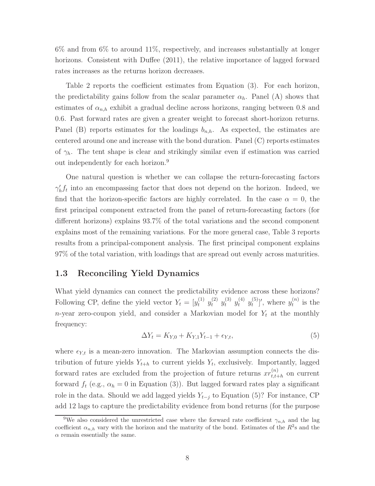6% and from 6% to around 11%, respectively, and increases substantially at longer horizons. Consistent with Duffee (2011), the relative importance of lagged forward rates increases as the returns horizon decreases.

Table 2 reports the coefficient estimates from Equation (3). For each horizon, the predictability gains follow from the scalar parameter  $\alpha_h$ . Panel (A) shows that estimates of  $\alpha_{n,h}$  exhibit a gradual decline across horizons, ranging between 0.8 and 0.6. Past forward rates are given a greater weight to forecast short-horizon returns. Panel (B) reports estimates for the loadings  $b_{n,h}$ . As expected, the estimates are centered around one and increase with the bond duration. Panel (C) reports estimates of  $\gamma_h$ . The tent shape is clear and strikingly similar even if estimation was carried out independently for each horizon.<sup>9</sup>

One natural question is whether we can collapse the return-forecasting factors  $\gamma'_{h}f_{t}$  into an encompassing factor that does not depend on the horizon. Indeed, we find that the horizon-specific factors are highly correlated. In the case  $\alpha = 0$ , the first principal component extracted from the panel of return-forecasting factors (for different horizons) explains 93.7% of the total variations and the second component explains most of the remaining variations. For the more general case, Table 3 reports results from a principal-component analysis. The first principal component explains 97% of the total variation, with loadings that are spread out evenly across maturities.

### 1.3 Reconciling Yield Dynamics

What yield dynamics can connect the predictability evidence across these horizons? Following CP, define the yield vector  $Y_t = [y_t^{(1)} \ y_t^{(2)} \ y_t^{(3)} \ y_t^{(4)} \ y_t^{(5)}$  $\left[\begin{smallmatrix} (5) \\ t \end{smallmatrix}\right]'$ , where  $y_t^{(n)}$  $t^{(n)}$  is the n-year zero-coupon yield, and consider a Markovian model for  $Y_t$  at the monthly frequency:

$$
\Delta Y_t = K_{Y,0} + K_{Y,1} Y_{t-1} + \epsilon_{Y,t},\tag{5}
$$

where  $\epsilon_{Y,t}$  is a mean-zero innovation. The Markovian assumption connects the distribution of future yields  $Y_{t+h}$  to current yields  $Y_t$ , exclusively. Importantly, lagged forward rates are excluded from the projection of future returns  $xr(t)$  $\sum_{t,t+h}^{(n)}$  on current forward  $f_t$  (e.g.,  $\alpha_h = 0$  in Equation (3)). But lagged forward rates play a significant role in the data. Should we add lagged yields  $Y_{t-j}$  to Equation (5)? For instance, CP add 12 lags to capture the predictability evidence from bond returns (for the purpose

<sup>&</sup>lt;sup>9</sup>We also considered the unrestricted case where the forward rate coefficient  $\gamma_{n,h}$  and the lag coefficient  $\alpha_{n,h}$  vary with the horizon and the maturity of the bond. Estimates of the  $R^2$ s and the  $\alpha$  remain essentially the same.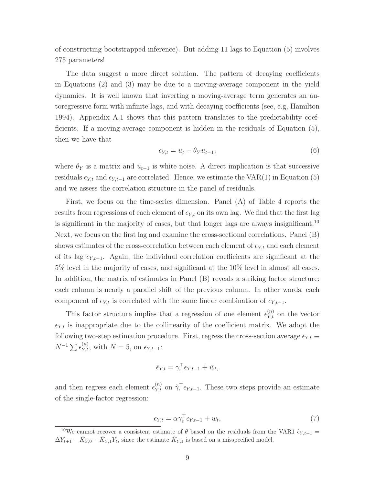of constructing bootstrapped inference). But adding 11 lags to Equation (5) involves 275 parameters!

The data suggest a more direct solution. The pattern of decaying coefficients in Equations (2) and (3) may be due to a moving-average component in the yield dynamics. It is well known that inverting a moving-average term generates an autoregressive form with infinite lags, and with decaying coefficients (see, e.g, Hamilton 1994). Appendix A.1 shows that this pattern translates to the predictability coefficients. If a moving-average component is hidden in the residuals of Equation (5), then we have that

$$
\epsilon_{Y,t} = u_t - \theta_Y u_{t-1},\tag{6}
$$

where  $\theta_Y$  is a matrix and  $u_{t-1}$  is white noise. A direct implication is that successive residuals  $\epsilon_{Y,t}$  and  $\epsilon_{Y,t-1}$  are correlated. Hence, we estimate the VAR(1) in Equation (5) and we assess the correlation structure in the panel of residuals.

First, we focus on the time-series dimension. Panel (A) of Table 4 reports the results from regressions of each element of  $\epsilon_{Y,t}$  on its own lag. We find that the first lag is significant in the majority of cases, but that longer lags are always insignificant.<sup>10</sup> Next, we focus on the first lag and examine the cross-sectional correlations. Panel (B) shows estimates of the cross-correlation between each element of  $\epsilon_{Y,t}$  and each element of its lag  $\epsilon_{Y,t-1}$ . Again, the individual correlation coefficients are significant at the 5% level in the majority of cases, and significant at the 10% level in almost all cases. In addition, the matrix of estimates in Panel (B) reveals a striking factor structure: each column is nearly a parallel shift of the previous column. In other words, each component of  $\epsilon_{Y,t}$  is correlated with the same linear combination of  $\epsilon_{Y,t-1}$ .

This factor structure implies that a regression of one element  $\epsilon_{Y,t}^{(n)}$  on the vector  $\epsilon_{Y,t}$  is inappropriate due to the collinearity of the coefficient matrix. We adopt the following two-step estimation procedure. First, regress the cross-section average  $\bar{\epsilon}_{Y,t} \equiv$  $N^{-1} \sum \epsilon_{Y,t}^{(n)}$ , with  $N = 5$ , on  $\epsilon_{Y,t-1}$ :

$$
\bar{\epsilon}_{Y,t} = \gamma_{\epsilon}^{\top} \epsilon_{Y,t-1} + \bar{w}_t,
$$

and then regress each element  $\epsilon_{Y,t}^{(n)}$  on  $\hat{\gamma}_{\epsilon}^{\top} \epsilon_{Y,t-1}$ . These two steps provide an estimate of the single-factor regression:

$$
\epsilon_{Y,t} = \alpha \gamma_{\epsilon}^{\top} \epsilon_{Y,t-1} + w_t,\tag{7}
$$

<sup>&</sup>lt;sup>10</sup>We cannot recover a consistent estimate of  $\theta$  based on the residuals from the VAR1  $\hat{\epsilon}_{Y,t+1}$  =  $\Delta Y_{t+1} - \hat{K}_{Y,0} - \hat{K}_{Y,1}Y_t$ , since the estimate  $\hat{K}_{Y,1}$  is based on a misspecified model.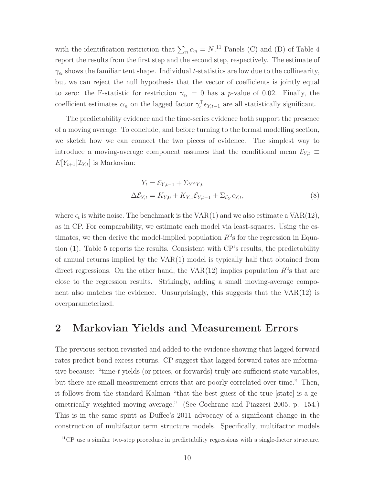with the identification restriction that  $\sum_n \alpha_n = N$ .<sup>11</sup> Panels (C) and (D) of Table 4 report the results from the first step and the second step, respectively. The estimate of  $\gamma_{\epsilon_t}$  shows the familiar tent shape. Individual t-statistics are low due to the collinearity, but we can reject the null hypothesis that the vector of coefficients is jointly equal to zero: the F-statistic for restriction  $\gamma_{\epsilon_t} = 0$  has a p-value of 0.02. Finally, the coefficient estimates  $\alpha_n$  on the lagged factor  $\gamma_{\epsilon}^{\top} \epsilon_{Y,t-1}$  are all statistically significant.

The predictability evidence and the time-series evidence both support the presence of a moving average. To conclude, and before turning to the formal modelling section, we sketch how we can connect the two pieces of evidence. The simplest way to introduce a moving-average component assumes that the conditional mean  $\mathcal{E}_{Y,t} \equiv$  $E[Y_{t+1}|\mathcal{I}_{Y,t}]$  is Markovian:

$$
Y_t = \mathcal{E}_{Y,t-1} + \Sigma_Y \epsilon_{Y,t}
$$
  

$$
\Delta \mathcal{E}_{Y,t} = K_{Y,0} + K_{Y,1} \mathcal{E}_{Y,t-1} + \Sigma_{\mathcal{E}_Y} \epsilon_{Y,t},
$$
\n(8)

where  $\epsilon_t$  is white noise. The benchmark is the VAR(1) and we also estimate a VAR(12), as in CP. For comparability, we estimate each model via least-squares. Using the estimates, we then derive the model-implied population  $R^2$ s for the regression in Equation (1). Table 5 reports the results. Consistent with CP's results, the predictability of annual returns implied by the VAR(1) model is typically half that obtained from direct regressions. On the other hand, the  $VAR(12)$  implies population  $R<sup>2</sup>$ s that are close to the regression results. Strikingly, adding a small moving-average component also matches the evidence. Unsurprisingly, this suggests that the VAR(12) is overparameterized.

## 2 Markovian Yields and Measurement Errors

The previous section revisited and added to the evidence showing that lagged forward rates predict bond excess returns. CP suggest that lagged forward rates are informative because: "time-t yields (or prices, or forwards) truly are sufficient state variables, but there are small measurement errors that are poorly correlated over time." Then, it follows from the standard Kalman "that the best guess of the true [state] is a geometrically weighted moving average." (See Cochrane and Piazzesi 2005, p. 154.) This is in the same spirit as Duffee's 2011 advocacy of a significant change in the construction of multifactor term structure models. Specifically, multifactor models

<sup>&</sup>lt;sup>11</sup>CP use a similar two-step procedure in predictability regressions with a single-factor structure.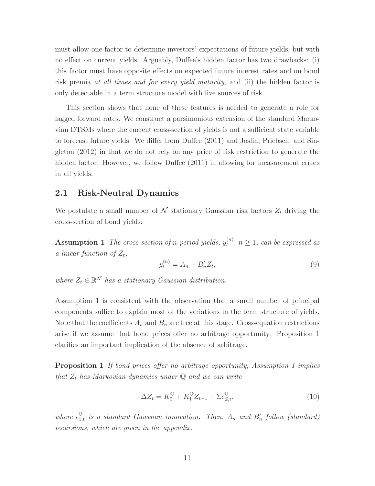must allow one factor to determine investors' expectations of future yields, but with no effect on current yields. Arguably, Duffee's hidden factor has two drawbacks: (i) this factor must have opposite effects on expected future interest rates and on bond risk premia at all times and for every yield maturity, and (ii) the hidden factor is only detectable in a term structure model with five sources of risk.

This section shows that none of these features is needed to generate a role for lagged forward rates. We construct a parsimonious extension of the standard Markovian DTSMs where the current cross-section of yields is not a sufficient state variable to forecast future yields. We differ from Duffee (2011) and Joslin, Priebsch, and Singleton (2012) in that we do not rely on any price of risk restriction to generate the hidden factor. However, we follow Duffee (2011) in allowing for measurement errors in all yields.

### 2.1 Risk-Neutral Dynamics

We postulate a small number of  $N$  stationary Gaussian risk factors  $Z_t$  driving the cross-section of bond yields:

**Assumption 1** The cross-section of n-period yields,  $y_t^{(n)}$  $t_t^{(n)}$ ,  $n \geq 1$ , can be expressed as a linear function of  $Z_t$ ,

$$
y_t^{(n)} = A_n + B'_n Z_t,
$$
\n(9)

where  $Z_t \in \mathbb{R}^N$  has a stationary Gaussian distribution.

Assumption 1 is consistent with the observation that a small number of principal components suffice to explain most of the variations in the term structure of yields. Note that the coefficients  $A_n$  and  $B_n$  are free at this stage. Cross-equation restrictions arise if we assume that bond prices offer no arbitrage opportunity. Proposition 1 clarifies an important implication of the absence of arbitrage.

**Proposition 1** If bond prices offer no arbitrage opportunity, Assumption 1 implies that  $Z_t$  has Markovian dynamics under  $\mathbb Q$  and we can write

$$
\Delta Z_t = K_0^{\mathbb{Q}} + K_1^{\mathbb{Q}} Z_{t-1} + \Sigma \epsilon_{Z,t}^{\mathbb{Q}},\tag{10}
$$

where  $\epsilon_{z,t}^{\mathbb{Q}}$  is a standard Gaussian innovation. Then,  $A_n$  and  $B'_n$  follow (standard) recursions, which are given in the appendix.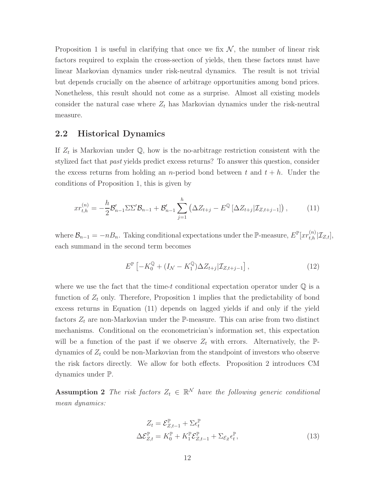Proposition 1 is useful in clarifying that once we fix  $\mathcal{N}$ , the number of linear risk factors required to explain the cross-section of yields, then these factors must have linear Markovian dynamics under risk-neutral dynamics. The result is not trivial but depends crucially on the absence of arbitrage opportunities among bond prices. Nonetheless, this result should not come as a surprise. Almost all existing models consider the natural case where  $Z_t$  has Markovian dynamics under the risk-neutral measure.

### 2.2 Historical Dynamics

If  $Z_t$  is Markovian under  $\mathbb{Q}$ , how is the no-arbitrage restriction consistent with the stylized fact that past yields predict excess returns? To answer this question, consider the excess returns from holding an *n*-period bond between t and  $t + h$ . Under the conditions of Proposition 1, this is given by

$$
xr_{t,h}^{(n)} = -\frac{h}{2}\mathcal{B}_{n-1}'\Sigma\Sigma'\mathcal{B}_{n-1} + \mathcal{B}_{n-1}'\sum_{j=1}^h\left(\Delta Z_{t+j} - E^{\mathbb{Q}}\left[\Delta Z_{t+j}|\mathcal{I}_{Z,t+j-1}\right]\right),\tag{11}
$$

where  $\mathcal{B}_{n-1} = -nB_n$ . Taking conditional expectations under the P-measure,  $E^{\mathbb{P}}[xr_{t,h}^{(n)}|\mathcal{I}_{Z,t}],$ each summand in the second term becomes

$$
E^{\mathbb{P}}\left[-K_0^{\mathbb{Q}} + (I_{\mathcal{N}} - K_1^{\mathbb{Q}})\Delta Z_{t+j} | \mathcal{I}_{Z,t+j-1}\right],
$$
\n(12)

where we use the fact that the time-t conditional expectation operator under  $\mathbb Q$  is a function of  $Z_t$  only. Therefore, Proposition 1 implies that the predictability of bond excess returns in Equation (11) depends on lagged yields if and only if the yield factors  $Z_t$  are non-Markovian under the P-measure. This can arise from two distinct mechanisms. Conditional on the econometrician's information set, this expectation will be a function of the past if we observe  $Z_t$  with errors. Alternatively, the  $\mathbb{P}$ dynamics of  $Z_t$  could be non-Markovian from the standpoint of investors who observe the risk factors directly. We allow for both effects. Proposition 2 introduces CM dynamics under P.

**Assumption 2** The risk factors  $Z_t \in \mathbb{R}^N$  have the following generic conditional mean dynamics:

$$
Z_t = \mathcal{E}_{Z,t-1}^{\mathbb{P}} + \Sigma \epsilon_t^{\mathbb{P}}
$$
  

$$
\Delta \mathcal{E}_{Z,t}^{\mathbb{P}} = K_0^{\mathbb{P}} + K_1^{\mathbb{P}} \mathcal{E}_{Z,t-1}^{\mathbb{P}} + \Sigma_{\mathcal{E}_Z} \epsilon_t^{\mathbb{P}},
$$
(13)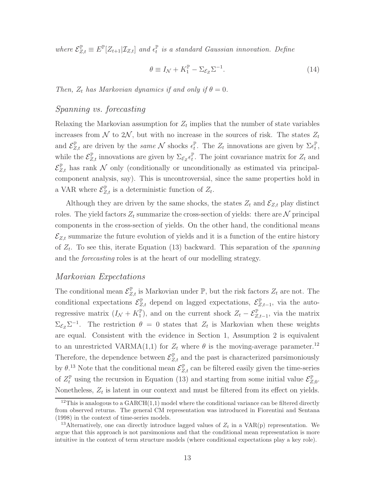where  $\mathcal{E}_{Z,t}^{\mathbb{P}} \equiv E^{\mathbb{P}}[Z_{t+1}|\mathcal{I}_{Z,t}]$  and  $\epsilon_t^{\mathbb{P}}$  is a standard Gaussian innovation. Define

$$
\theta \equiv I_{\mathcal{N}} + K_1^{\mathbb{P}} - \Sigma_{\mathcal{E}_Z} \Sigma^{-1}.
$$
\n(14)

Then,  $Z_t$  has Markovian dynamics if and only if  $\theta = 0$ .

### Spanning vs. forecasting

Relaxing the Markovian assumption for  $Z_t$  implies that the number of state variables increases from N to 2N, but with no increase in the sources of risk. The states  $Z_t$ and  $\mathcal{E}_{Z,t}^{\mathbb{P}}$  are driven by the *same* N shocks  $\epsilon_t^{\mathbb{P}}$ . The  $Z_t$  innovations are given by  $\Sigma \epsilon_t^{\mathbb{P}}$ , while the  $\mathcal{E}_{Z,t}^{\mathbb{P}}$  innovations are given by  $\Sigma_{\mathcal{E}_Z} \epsilon_t^{\mathbb{P}}$ . The joint covariance matrix for  $Z_t$  and  $\mathcal{E}_{Z,t}^{\mathbb{P}}$  has rank N only (conditionally or unconditionally as estimated via principalcomponent analysis, say). This is uncontroversial, since the same properties hold in a VAR where  $\mathcal{E}_{Z,t}^{\mathbb{P}}$  is a deterministic function of  $Z_t$ .

Although they are driven by the same shocks, the states  $Z_t$  and  $\mathcal{E}_{Z,t}$  play distinct roles. The yield factors  $Z_t$  summarize the cross-section of yields: there are N principal components in the cross-section of yields. On the other hand, the conditional means  $\mathcal{E}_{Z,t}$  summarize the future evolution of yields and it is a function of the entire history of  $Z_t$ . To see this, iterate Equation (13) backward. This separation of the *spanning* and the forecasting roles is at the heart of our modelling strategy.

### Markovian Expectations

The conditional mean  $\mathcal{E}_{Z,t}^{\mathbb{P}}$  is Markovian under  $\mathbb{P}$ , but the risk factors  $Z_t$  are not. The conditional expectations  $\mathcal{E}_{Z,t}^{\mathbb{P}}$  depend on lagged expectations,  $\mathcal{E}_{Z,t-1}^{\mathbb{P}}$ , via the autoregressive matrix  $(I_{\mathcal{N}}+K_1^{\mathbb{P}})$ , and on the current shock  $Z_t-\mathcal{E}_{Z,t-1}^{\mathbb{P}},$  via the matrix  $\Sigma_{\mathcal{E}_Z} \Sigma^{-1}$ . The restriction  $\theta = 0$  states that  $Z_t$  is Markovian when these weights are equal. Consistent with the evidence in Section 1, Assumption 2 is equivalent to an unrestricted VARMA(1,1) for  $Z_t$  where  $\theta$  is the moving-average parameter.<sup>12</sup> Therefore, the dependence between  $\mathcal{E}_{Z,t}^{\mathbb{P}}$  and the past is characterized parsimoniously by  $\theta$ <sup>13</sup>. Note that the conditional mean  $\mathcal{E}_{Z,t}^{\mathbb{P}}$  can be filtered easily given the time-series of  $Z_t^{\mathbb{P}}$  using the recursion in Equation (13) and starting from some initial value  $\mathcal{E}_{Z,0}^{\mathbb{P}}$ . Nonetheless,  $Z_t$  is latent in our context and must be filtered from its effect on yields.

<sup>&</sup>lt;sup>12</sup>This is analogous to a GARCH $(1,1)$  model where the conditional variance can be filtered directly from observed returns. The general CM representation was introduced in Fiorentini and Sentana (1998) in the context of time-series models.

<sup>&</sup>lt;sup>13</sup>Alternatively, one can directly introduce lagged values of  $Z_t$  in a VAR(p) representation. We argue that this approach is not parsimonious and that the conditional mean representation is more intuitive in the context of term structure models (where conditional expectations play a key role).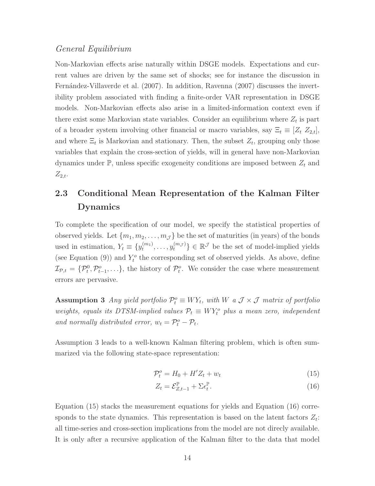### General Equilibrium

Non-Markovian effects arise naturally within DSGE models. Expectations and current values are driven by the same set of shocks; see for instance the discussion in Fernández-Villaverde et al. (2007). In addition, Ravenna (2007) discusses the invertibility problem associated with finding a finite-order VAR representation in DSGE models. Non-Markovian effects also arise in a limited-information context even if there exist some Markovian state variables. Consider an equilibrium where  $Z_t$  is part of a broader system involving other financial or macro variables, say  $\Xi_t \equiv [Z_t \ Z_{2,t}],$ and where  $\Xi_t$  is Markovian and stationary. Then, the subset  $Z_t$ , grouping only those variables that explain the cross-section of yields, will in general have non-Markovian dynamics under  $\mathbb{P}$ , unless specific exogeneity conditions are imposed between  $Z_t$  and  $Z_{2,t}$ .

# 2.3 Conditional Mean Representation of the Kalman Filter Dynamics

To complete the specification of our model, we specify the statistical properties of observed yields. Let  $\{m_1, m_2, \ldots, m_{\mathcal{J}}\}$  be the set of maturities (in years) of the bonds used in estimation,  $Y_t \equiv \{y_t^{(m_1)}\}$  $\{u_1^{(m_1)}, \ldots, u_t^{(m_{\mathcal{J}})}\} \in \mathbb{R}^{\mathcal{J}}$  be the set of model-implied yields (see Equation (9)) and  $Y_t^o$  the corresponding set of observed yields. As above, define  $\mathcal{I}_{\mathcal{P},t} = \{\mathcal{P}_t^0, \mathcal{P}_{t-1}^o, \ldots\},\$  the history of  $\mathcal{P}_t^o$ . We consider the case where measurement errors are pervasive.

Assumption 3 Any yield portfolio  $\mathcal{P}_t^o \equiv W Y_t$ , with W a  $\mathcal{J} \times \mathcal{J}$  matrix of portfolio weights, equals its DTSM-implied values  $P_t \equiv W Y_t^o$  plus a mean zero, independent and normally distributed error,  $w_t = \mathcal{P}_t^o - \mathcal{P}_t$ .

Assumption 3 leads to a well-known Kalman filtering problem, which is often summarized via the following state-space representation:

$$
\mathcal{P}_t^o = H_0 + H' Z_t + w_t \tag{15}
$$

$$
Z_t = \mathcal{E}_{Z,t-1}^{\mathbb{P}} + \Sigma \epsilon_t^{\mathbb{P}}.
$$
\n(16)

Equation (15) stacks the measurement equations for yields and Equation (16) corresponds to the state dynamics. This representation is based on the latent factors  $Z_t$ : all time-series and cross-section implications from the model are not direcly available. It is only after a recursive application of the Kalman filter to the data that model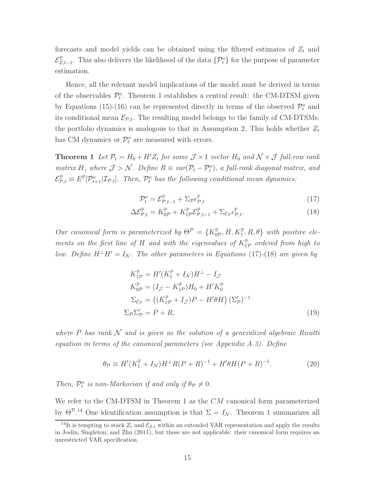forecasts and model yields can be obtained using the filtered estimates of  $Z_t$  and  $\mathcal{E}_{Z,t-1}^{\mathbb{P}}$ . This also delivers the likelihood of the data  $\{\mathcal{P}_t^o\}$  for the purpose of parameter estimation.

Hence, all the relevant model implications of the model must be derived in terms of the observables  $\mathcal{P}_t^o$ . Theorem 1 establishes a central result: the CM-DTSM given by Equations (15)-(16) can be represented directly in terms of the observed  $\mathcal{P}_t^o$  and its conditional mean  $\mathcal{E}_{p,t}$ . The resulting model belongs to the family of CM-DTSMs: the portfolio dynamics is analogous to that in Assumption 2. This holds whether  $Z_t$ has CM dynamics or  $\mathcal{P}_t^o$  are measured with errors.

**Theorem 1** Let  $P_t = H_0 + H'Z_t$  for some  $\mathcal{J} \times 1$  vector  $H_0$  and  $\mathcal{N} \times \mathcal{J}$  full-row rank matrix H, where  $\mathcal{J} > \mathcal{N}$ . Define  $R \equiv var(\mathcal{P}_t - \mathcal{P}_t^o)$ , a full-rank diagonal matrix, and  $\mathcal{E}_{\mathcal{P},t}^{\mathbb{P}} \equiv E^{\mathbb{P}}[\mathcal{P}_{t+1}^o | \mathcal{I}_{\mathcal{P},t}].$  Then,  $\mathcal{P}_t^o$  has the following conditional mean dynamics:

$$
\mathcal{P}_t^o = \mathcal{E}_{\mathcal{P},t-1}^{\mathbb{P}} + \Sigma_{\mathcal{P}} \epsilon_{\mathcal{P},t}^{\mathbb{P}} \tag{17}
$$

$$
\Delta \mathcal{E}_{\mathcal{P},t}^{\mathbb{P}} = K_{0\mathcal{P}}^{\mathbb{P}} + K_{1\mathcal{P}}^{\mathbb{P}} \mathcal{E}_{\mathcal{P},t-1}^{\mathbb{P}} + \Sigma_{\mathcal{E}_{\mathcal{P}}} \epsilon_{\mathcal{P},t}^{\mathbb{P}}.
$$
\n(18)

Our canonical form is parameterized by  $\Theta^{\mathcal{P}} = \{K_{0\mathcal{P}}^{\mathbb{P}}, H, K_{1}^{\mathbb{P}}, R, \theta\}$  with positive elements on the first line of H and with the eigenvalues of  $K_{1\mathcal{P}}^{\mathbb{P}}$  ordered from high to low. Define  $H^{\perp}H' = I_{\mathcal{N}}$ . The other parameters in Equations (17)-(18) are given by

$$
K_{1\mathcal{P}}^{\mathbb{P}} = H'(K_1^{\mathbb{P}} + I_{\mathcal{N}})H^{\perp} - I_{\mathcal{J}}
$$
  
\n
$$
K_{0\mathcal{P}}^{\mathbb{P}} = (I_{\mathcal{J}} - K_{1\mathcal{P}}^{\mathbb{P}})H_0 + H'K_0^{\mathbb{P}}
$$
  
\n
$$
\Sigma_{\mathcal{E}_{\mathcal{P}}} = ((K_{1\mathcal{P}}^{\mathbb{P}} + I_{\mathcal{J}})P - H'\theta H) (\Sigma_{\mathcal{P}}')^{-1}
$$
  
\n
$$
\Sigma_{\mathcal{P}}\Sigma_{\mathcal{P}}' = P + R,
$$
\n(19)

where P has rank  $\mathcal N$  and is given as the solution of a generalized algebraic Ricatti equation in terms of the canonical parameters (see Appendix A.3). Define

$$
\theta_{\mathcal{P}} \equiv H'(K_1^{\mathbb{P}} + I_{\mathcal{N}})H^{\perp}R(P+R)^{-1} + H'\theta H(P+R)^{-1}.
$$
 (20)

Then,  $\mathcal{P}_t^o$  is non-Markovian if and only if  $\theta_{\mathcal{P}} \neq 0$ .

We refer to the CM-DTSM in Theorem 1 as the CM canonical form parameterized by  $\Theta^{\mathcal{P},14}$  One identification assumption is that  $\Sigma = I_{\mathcal{N}}$ . Theorem 1 summarizes all

<sup>&</sup>lt;sup>14</sup>It is tempting to stack  $Z_t$  and  $\mathcal{E}_{Z,t}$  within an extended VAR representation and apply the results in Joslin, Singleton, and Zhu (2011), but these are not applicable: their canonical form requires an unrestricted VAR specification.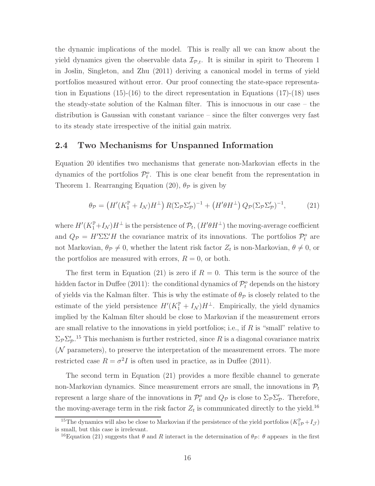the dynamic implications of the model. This is really all we can know about the yield dynamics given the observable data  $\mathcal{I}_{\mathcal{P},t}$ . It is similar in spirit to Theorem 1 in Joslin, Singleton, and Zhu (2011) deriving a canonical model in terms of yield portfolios measured without error. Our proof connecting the state-space representation in Equations (15)-(16) to the direct representation in Equations (17)-(18) uses the steady-state solution of the Kalman filter. This is innocuous in our case – the distribution is Gaussian with constant variance – since the filter converges very fast to its steady state irrespective of the initial gain matrix.

### 2.4 Two Mechanisms for Unspanned Information

Equation 20 identifies two mechanisms that generate non-Markovian effects in the dynamics of the portfolios  $\mathcal{P}_t^o$ . This is one clear benefit from the representation in Theorem 1. Rearranging Equation (20),  $\theta_{\mathcal{P}}$  is given by

$$
\theta_{\mathcal{P}} = \left( H'(K_1^{\mathbb{P}} + I_{\mathcal{N}})H^{\perp} \right) R(\Sigma_{\mathcal{P}} \Sigma_{\mathcal{P}}')^{-1} + \left( H'\theta H^{\perp} \right) Q_{\mathcal{P}}(\Sigma_{\mathcal{P}} \Sigma_{\mathcal{P}}')^{-1},\tag{21}
$$

where  $H'(K_1^{\mathbb{P}}+I_{\mathcal{N}})H^{\perp}$  is the persistence of  $\mathcal{P}_t$ ,  $(H'\theta H^{\perp})$  the moving-average coefficient and  $Q_{\mathcal{P}} = H' \Sigma \Sigma' H$  the covariance matrix of its innovations. The portfolios  $\mathcal{P}_t^o$  are not Markovian,  $\theta_{\mathcal{P}} \neq 0$ , whether the latent risk factor  $Z_t$  is non-Markovian,  $\theta \neq 0$ , or the portfolios are measured with errors,  $R = 0$ , or both.

The first term in Equation (21) is zero if  $R = 0$ . This term is the source of the hidden factor in Duffee (2011): the conditional dynamics of  $\mathcal{P}_t^o$  depends on the history of yields via the Kalman filter. This is why the estimate of  $\theta_{\mathcal{P}}$  is closely related to the estimate of the yield persistence  $H'(K_1^{\mathbb{P}} + I_{\mathcal{N}})H^{\perp}$ . Empirically, the yield dynamics implied by the Kalman filter should be close to Markovian if the measurement errors are small relative to the innovations in yield portfolios; i.e., if  $R$  is "small" relative to  $\Sigma_{\mathcal{P}}\Sigma_{\mathcal{P}}'$ .<sup>15</sup> This mechanism is further restricted, since R is a diagonal covariance matrix (N parameters), to preserve the interpretation of the measurement errors. The more restricted case  $R = \sigma^2 I$  is often used in practice, as in Duffee (2011).

The second term in Equation (21) provides a more flexible channel to generate non-Markovian dynamics. Since measurement errors are small, the innovations in  $\mathcal{P}_t$ represent a large share of the innovations in  $\mathcal{P}_t^o$  and  $Q_{\mathcal{P}}$  is close to  $\Sigma_{\mathcal{P}}\Sigma_{\mathcal{P}}'$ . Therefore, the moving-average term in the risk factor  $Z_t$  is communicated directly to the yield.<sup>16</sup>

<sup>&</sup>lt;sup>15</sup>The dynamics will also be close to Markovian if the persistence of the yield portfolios  $(K_{1\mathcal{P}}^{\mathbb{P}} + I_{\mathcal{J}})$ is small, but this case is irrelevant.

<sup>&</sup>lt;sup>16</sup>Equation (21) suggests that  $\theta$  and R interact in the determination of  $\theta_{\mathcal{P}}$ :  $\theta$  appears in the first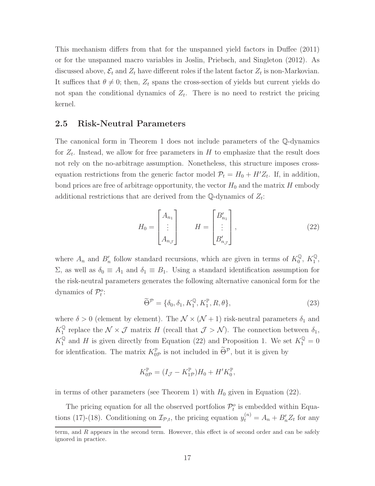This mechanism differs from that for the unspanned yield factors in Duffee (2011) or for the unspanned macro variables in Joslin, Priebsch, and Singleton (2012). As discussed above,  $\mathcal{E}_t$  and  $Z_t$  have different roles if the latent factor  $Z_t$  is non-Markovian. It suffices that  $\theta \neq 0$ ; then,  $Z_t$  spans the cross-section of yields but current yields do not span the conditional dynamics of  $Z_t$ . There is no need to restrict the pricing kernel.

### 2.5 Risk-Neutral Parameters

The canonical form in Theorem 1 does not include parameters of the Q-dynamics for  $Z_t$ . Instead, we allow for free parameters in H to emphasize that the result does not rely on the no-arbitrage assumption. Nonetheless, this structure imposes crossequation restrictions from the generic factor model  $P_t = H_0 + H'Z_t$ . If, in addition, bond prices are free of arbitrage opportunity, the vector  $H_0$  and the matrix H embody additional restrictions that are derived from the  $\mathbb{Q}$ -dynamics of  $Z_t$ :

$$
H_0 = \begin{bmatrix} A_{n_1} \\ \vdots \\ A_{n_J} \end{bmatrix} \qquad H = \begin{bmatrix} B'_{n_1} \\ \vdots \\ B'_{n_J} \end{bmatrix}, \qquad (22)
$$

where  $A_n$  and  $B'_n$  follow standard recursions, which are given in terms of  $K_0^{\mathbb{Q}}$  $_0^{\mathbb{Q}}, K_1^{\mathbb{Q}}$  $_1^\mathbb{Q},$  $Σ$ , as well as  $δ₀ ≡ A₁$  and  $δ₁ ≡ B₁$ . Using a standard identification assumption for the risk-neutral parameters generates the following alternative canonical form for the dynamics of  $\mathcal{P}_t^o$ :

$$
\widetilde{\Theta}^{\mathcal{P}} = \{ \delta_0, \delta_1, K_1^{\mathbb{Q}}, K_1^{\mathbb{P}}, R, \theta \},\tag{23}
$$

where  $\delta > 0$  (element by element). The  $\mathcal{N} \times (\mathcal{N} + 1)$  risk-neutral parameters  $\delta_1$  and  $K_1^{\mathbb{Q}}$ <sup> $\mathbb{Q}$ </sup> replace the  $\mathcal{N} \times \mathcal{J}$  matrix H (recall that  $\mathcal{J} > \mathcal{N}$ ). The connection between  $\delta_1$ ,  $K_1^{\mathbb{Q}}$  and H is given directly from Equation (22) and Proposition 1. We set  $K_1^{\mathbb{Q}} = 0$ for identification. The matrix  $K_{0\mathcal{P}}^{\mathbb{P}}$  is not included in  $\Theta^{\mathcal{P}}$ , but it is given by

$$
K_{0\mathcal{P}}^{\mathbb{P}} = (I_{\mathcal{J}} - K_{1\mathcal{P}}^{\mathbb{P}})H_0 + H'K_0^{\mathbb{P}},
$$

in terms of other parameters (see Theorem 1) with  $H_0$  given in Equation (22).

The pricing equation for all the observed portfolios  $\mathcal{P}_t^o$  is embedded within Equations (17)-(18). Conditioning on  $\mathcal{I}_{\mathcal{P},t}$ , the pricing equation  $y_t^{(n)} = A_n + B'_n Z_t$  for any

term, and R appears in the second term. However, this effect is of second order and can be safely ignored in practice.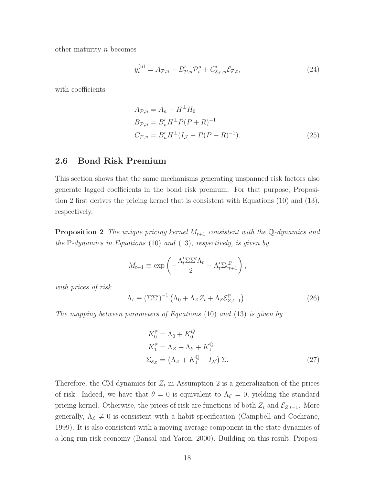other maturity  $n$  becomes

$$
y_t^{(n)} = A_{\mathcal{P},n} + B_{\mathcal{P},n}'\mathcal{P}_t^o + C_{\mathcal{E}_{\mathcal{P}},n}'\mathcal{E}_{\mathcal{P},t},\tag{24}
$$

with coefficients

$$
A_{\mathcal{P},n} = A_n - H^{\perp} H_0
$$
  
\n
$$
B_{\mathcal{P},n} = B'_n H^{\perp} P (P + R)^{-1}
$$
  
\n
$$
C_{\mathcal{P},n} = B'_n H^{\perp} (I_{\mathcal{J}} - P (P + R)^{-1}).
$$
\n(25)

### 2.6 Bond Risk Premium

This section shows that the same mechanisms generating unspanned risk factors also generate lagged coefficients in the bond risk premium. For that purpose, Proposition 2 first derives the pricing kernel that is consistent with Equations (10) and (13), respectively.

**Proposition 2** The unique pricing kernel  $M_{t+1}$  consistent with the Q-dynamics and the  $\mathbb{P}$ -dynamics in Equations (10) and (13), respectively, is given by

$$
M_{t+1} \equiv \exp\left(-\frac{\Lambda_t' \Sigma \Sigma' \Lambda_t}{2} - \Lambda_t' \Sigma \epsilon_{t+1}^{\mathbb{P}}\right),\,
$$

with prices of risk

$$
\Lambda_t \equiv \left(\Sigma \Sigma'\right)^{-1} \left(\Lambda_0 + \Lambda_Z Z_t + \Lambda_{\mathcal{E}} \mathcal{E}_{Z,t-1}^{\mathbb{P}}\right). \tag{26}
$$

The mapping between parameters of Equations (10) and (13) is given by

$$
K_0^{\mathbb{P}} = \Lambda_0 + K_0^Q
$$
  
\n
$$
K_1^{\mathbb{P}} = \Lambda_Z + \Lambda_{\mathcal{E}} + K_1^Q
$$
  
\n
$$
\Sigma_{\mathcal{E}_Z} = (\Lambda_Z + K_1^Q + I_N) \Sigma.
$$
\n(27)

Therefore, the CM dynamics for  $Z_t$  in Assumption 2 is a generalization of the prices of risk. Indeed, we have that  $\theta = 0$  is equivalent to  $\Lambda_{\mathcal{E}} = 0$ , yielding the standard pricing kernel. Otherwise, the prices of risk are functions of both  $Z_t$  and  $\mathcal{E}_{Z,t-1}$ . More generally,  $\Lambda_{\mathcal{E}} \neq 0$  is consistent with a habit specification (Campbell and Cochrane, 1999). It is also consistent with a moving-average component in the state dynamics of a long-run risk economy (Bansal and Yaron, 2000). Building on this result, Proposi-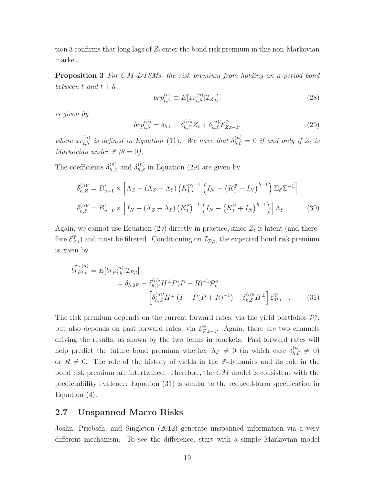tion 3 confirms that long lags of  $Z_t$  enter the bond risk premium in this non-Markovian market.

**Proposition 3** For CM-DTSMs, the risk premium from holding an n-period bond between t and  $t + h$ ,

$$
br p_{t,h}^{(n)} \equiv E[xr_{t,h}^{(n)}|\mathcal{I}_{Z,t}], \qquad (28)
$$

is given by

$$
br p_{t,h}^{(n)} = \delta_{h,0} + \delta_{h,Z}^{(n)'} Z_t + \delta_{h,\mathcal{E}}^{(n)'} \mathcal{E}_{Z,t-1}^{\mathbb{P}},
$$
\n(29)

where  $xr_{t,h}^{(n)}$  is defined in Equation (11). We have that  $\delta_{h,\mathcal{E}}^{(n)}=0$  if and only if  $Z_t$  is Markovian under  $\mathbb{P}(\theta = 0)$ .

The coefficients  $\delta_{h,Z}^{(n)}$  and  $\delta_{h,\mathcal{E}}^{(n)}$  $_{h,\mathcal{E}}^{(n)}$  in Equation (29) are given by

$$
\delta_{h,Z}^{(n)\prime} = B_{n-1}' \times \left[ \Lambda_Z - (\Lambda_Z + \Lambda_{\varepsilon}) \left( K_1^{\mathbb{P}} \right)^{-1} \left( I_N - \left( K_1^{\mathbb{P}} + I_N \right)^{h-1} \right) \Sigma_{\varepsilon} \Sigma^{-1} \right]
$$
  

$$
\delta_{h,\varepsilon}^{(n)\prime} = B_{n-1}' \times \left[ I_N + (\Lambda_Z + \Lambda_{\varepsilon}) \left( K_1^{\mathbb{P}} \right)^{-1} \left( I_N - \left( K_1^{\mathbb{P}} + I_N \right)^{h-1} \right) \right] \Lambda_{\varepsilon}.
$$
 (30)

Again, we cannot use Equation (29) directly in practice, since  $Z_t$  is latent (and therefore  $\mathcal{E}_{Z,t}^{\mathbb{P}}$  and must be filtered. Conditioning on  $\mathcal{I}_{\mathcal{P},t}$ , the expected bond risk premium is given by

$$
\widehat{brp}_{t,h}^{(n)} = E[br p_{t,h}^{(n)} | \mathcal{I}_{\mathcal{P},t}] \n= \delta_{h,0\mathcal{P}} + \delta_{h,Z}^{(n)'} H^{\perp} P (P + R)^{-1} \mathcal{P}_t^o \n+ \left[ \delta_{h,Z}^{(n)'} H^{\perp} (I - P (P + R)^{-1}) + \delta_{h,\mathcal{E}}^{(n)'} H^{\perp} \right] \mathcal{E}_{\mathcal{P},t-1}^{\mathbb{P}}.
$$
\n(31)

The risk premium depends on the current forward rates, via the yield portfolios  $\mathcal{P}_t^o$ , but also depends on past forward rates, via  $\mathcal{E}_{\mathcal{P},t-1}^{\mathbb{P}}$ . Again, there are two channels driving the results, as shown by the two terms in brackets. Past forward rates will help predict the future bond premium whether  $\Lambda_{\mathcal{E}} \neq 0$  (in which case  $\delta_{h,\mathcal{E}}^{(n)}$  $h,\mathcal{E} \neq 0$ or  $R \neq 0$ . The role of the history of yields in the P-dynamics and its role in the bond risk premium are intertwined. Therefore, the CM model is consistent with the predictability evidence: Equation (31) is similar to the reduced-form specification in Equation (4).

### 2.7 Unspanned Macro Risks

Joslin, Priebsch, and Singleton (2012) generate unspanned information via a very different mechanism. To see the difference, start with a simple Markovian model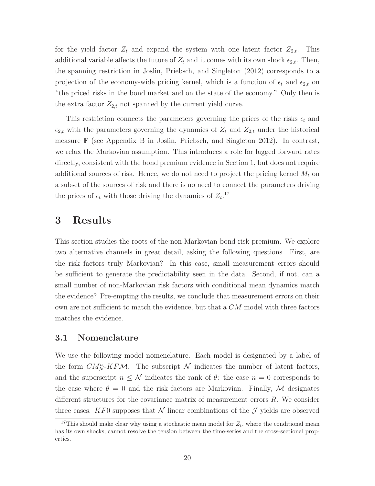for the yield factor  $Z_t$  and expand the system with one latent factor  $Z_{2,t}$ . This additional variable affects the future of  $Z_t$  and it comes with its own shock  $\epsilon_{2,t}$ . Then, the spanning restriction in Joslin, Priebsch, and Singleton (2012) corresponds to a projection of the economy-wide pricing kernel, which is a function of  $\epsilon_t$  and  $\epsilon_{2,t}$  on "the priced risks in the bond market and on the state of the economy." Only then is the extra factor  $Z_{2,t}$  not spanned by the current yield curve.

This restriction connects the parameters governing the prices of the risks  $\epsilon_t$  and  $\epsilon_{2,t}$  with the parameters governing the dynamics of  $Z_t$  and  $Z_{2,t}$  under the historical measure  $\mathbb P$  (see Appendix B in Joslin, Priebsch, and Singleton 2012). In contrast, we relax the Markovian assumption. This introduces a role for lagged forward rates directly, consistent with the bond premium evidence in Section 1, but does not require additional sources of risk. Hence, we do not need to project the pricing kernel  $M_t$  on a subset of the sources of risk and there is no need to connect the parameters driving the prices of  $\epsilon_t$  with those driving the dynamics of  $Z_t$ <sup>17</sup>

# 3 Results

This section studies the roots of the non-Markovian bond risk premium. We explore two alternative channels in great detail, asking the following questions. First, are the risk factors truly Markovian? In this case, small measurement errors should be sufficient to generate the predictability seen in the data. Second, if not, can a small number of non-Markovian risk factors with conditional mean dynamics match the evidence? Pre-empting the results, we conclude that measurement errors on their own are not sufficient to match the evidence, but that a  $CM$  model with three factors matches the evidence.

### 3.1 Nomenclature

We use the following model nomenclature. Each model is designated by a label of the form  $CM_N^n$ -KFM. The subscript N indicates the number of latent factors, and the superscript  $n \leq \mathcal{N}$  indicates the rank of  $\theta$ : the case  $n = 0$  corresponds to the case where  $\theta = 0$  and the risk factors are Markovian. Finally, M designates different structures for the covariance matrix of measurement errors R. We consider three cases. KF0 supposes that N linear combinations of the  $\mathcal I$  yields are observed

<sup>&</sup>lt;sup>17</sup>This should make clear why using a stochastic mean model for  $Z_t$ , where the conditional mean has its own shocks, cannot resolve the tension between the time-series and the cross-sectional properties.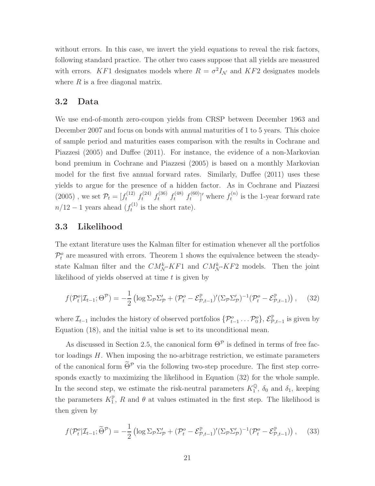without errors. In this case, we invert the yield equations to reveal the risk factors, following standard practice. The other two cases suppose that all yields are measured with errors. KF1 designates models where  $R = \sigma^2 I_N$  and KF2 designates models where  $R$  is a free diagonal matrix.

### 3.2 Data

We use end-of-month zero-coupon yields from CRSP between December 1963 and December 2007 and focus on bonds with annual maturities of 1 to 5 years. This choice of sample period and maturities eases comparison with the results in Cochrane and Piazzesi (2005) and Duffee (2011). For instance, the evidence of a non-Markovian bond premium in Cochrane and Piazzesi (2005) is based on a monthly Markovian model for the first five annual forward rates. Similarly, Duffee (2011) uses these yields to argue for the presence of a hidden factor. As in Cochrane and Piazzesi  $(2005)$ , we set  $\mathcal{P}_t = [f_t^{(12)} \ f_t^{(24)} \ f_t^{(36)} \ f_t^{(48)} \ f_t^{(60)}$  $f_t^{(60)}$ ]' where  $f_t^{(n)}$  $t_t^{(n)}$  is the 1-year forward rate  $n/12-1$  years ahead  $(f_t^{(1)})$  $t^{(1)}$  is the short rate).

### 3.3 Likelihood

The extant literature uses the Kalman filter for estimation whenever all the portfolios  $\mathcal{P}_t^o$  are measured with errors. Theorem 1 shows the equivalence between the steadystate Kalman filter and the  $CM_{\mathcal{N}}^k$ -KF1 and  $CM_{\mathcal{N}}^k$ -KF2 models. Then the joint likelihood of yields observed at time  $t$  is given by

$$
f(\mathcal{P}_t^o|\mathcal{I}_{t-1};\Theta^{\mathcal{P}}) = -\frac{1}{2} \left( \log \Sigma_{\mathcal{P}} \Sigma_{\mathcal{P}}' + (\mathcal{P}_t^o - \mathcal{E}_{\mathcal{P},t-1}^{\mathbb{P}})'(\Sigma_{\mathcal{P}} \Sigma_{\mathcal{P}}')^{-1}(\mathcal{P}_t^o - \mathcal{E}_{\mathcal{P},t-1}^{\mathbb{P}}) \right), \quad (32)
$$

where  $\mathcal{I}_{t-1}$  includes the history of observed portfolios  $\{\mathcal{P}_{t-1}^o \dots \mathcal{P}_0^o\}$ ,  $\mathcal{E}_{\mathcal{P},t-1}^{\mathbb{P}}$  is given by Equation (18), and the initial value is set to its unconditional mean.

As discussed in Section 2.5, the canonical form  $\Theta^{\mathcal{P}}$  is defined in terms of free factor loadings  $H$ . When imposing the no-arbitrage restriction, we estimate parameters of the canonical form  $\widetilde{\Theta}^{\mathcal{P}}$  via the following two-step procedure. The first step corresponds exactly to maximizing the likelihood in Equation (32) for the whole sample. In the second step, we estimate the risk-neutral parameters  $K_1^{\mathbb{Q}}$  $\frac{1}{1}$ ,  $\delta_0$  and  $\delta_1$ , keeping the parameters  $K_1^{\mathbb{P}}, R$  and  $\theta$  at values estimated in the first step. The likelihood is then given by

$$
f(\mathcal{P}_t^o|\mathcal{I}_{t-1};\widetilde{\Theta}^{\mathcal{P}}) = -\frac{1}{2} \left( \log \Sigma_{\mathcal{P}} \Sigma_{\mathcal{P}}' + (\mathcal{P}_t^o - \mathcal{E}_{\mathcal{P},t-1}^{\mathbb{P}})' (\Sigma_{\mathcal{P}} \Sigma_{\mathcal{P}}')^{-1} (\mathcal{P}_t^o - \mathcal{E}_{\mathcal{P},t-1}^{\mathbb{P}}) \right), \quad (33)
$$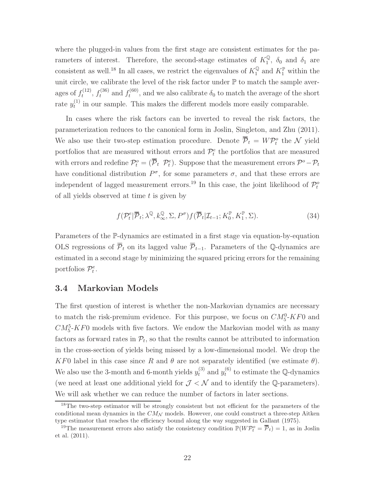where the plugged-in values from the first stage are consistent estimates for the parameters of interest. Therefore, the second-stage estimates of  $K_1^{\mathbb{Q}}$  $\frac{1}{1}$ ,  $\delta_0$  and  $\delta_1$  are consistent as well.<sup>18</sup> In all cases, we restrict the eigenvalues of  $K_1^{\mathbb{Q}}$  $\frac{Q}{1}$  and  $K_1^{\mathbb{P}}$  within the unit circle, we calibrate the level of the risk factor under  $\mathbb P$  to match the sample averages of  $f_t^{(12)}$  $f_t^{(12)}$ ,  $f_t^{(36)}$  and  $f_t^{(60)}$  $t_t^{(00)}$ , and we also calibrate  $\delta_0$  to match the average of the short rate  $y_t^{(1)}$  $t_t^{(1)}$  in our sample. This makes the different models more easily comparable.

In cases where the risk factors can be inverted to reveal the risk factors, the parameterization reduces to the canonical form in Joslin, Singleton, and Zhu (2011). We also use their two-step estimation procedure. Denote  $\overline{P}_t = W P_t^o$  the N yield portfolios that are measured without errors and  $\mathcal{P}_t^e$  the portfolios that are measured with errors and redefine  $\mathcal{P}_t^o = (\overline{\mathcal{P}}_t \ \mathcal{P}_t^e)$ . Suppose that the measurement errors  $\mathcal{P}^o - \mathcal{P}_t$ have conditional distribution  $P^{\sigma}$ , for some parameters  $\sigma$ , and that these errors are independent of lagged measurement errors.<sup>19</sup> In this case, the joint likelihood of  $\mathcal{P}_t^o$ of all yields observed at time  $t$  is given by

$$
f(\mathcal{P}_t^e | \overline{\mathcal{P}}_t; \lambda^{\mathbb{Q}}, k^{\mathbb{Q}}_{\infty}, \Sigma, P^{\sigma}) f(\overline{\mathcal{P}}_t | \mathcal{I}_{t-1}; K_0^{\mathbb{P}}, K_1^{\mathbb{P}}, \Sigma).
$$
 (34)

Parameters of the P-dynamics are estimated in a first stage via equation-by-equation OLS regressions of  $\overline{\mathcal{P}}_t$  on its lagged value  $\overline{\mathcal{P}}_{t-1}$ . Parameters of the Q-dynamics are estimated in a second stage by minimizing the squared pricing errors for the remaining portfolios  $\mathcal{P}_t^e$ .

### 3.4 Markovian Models

The first question of interest is whether the non-Markovian dynamics are necessary to match the risk-premium evidence. For this purpose, we focus on  $CM_5^0$ -KF0 and  $CM_{5}^{5}$ -KF0 models with five factors. We endow the Markovian model with as many factors as forward rates in  $\mathcal{P}_t$ , so that the results cannot be attributed to information in the cross-section of yields being missed by a low-dimensional model. We drop the KF0 label in this case since R and  $\theta$  are not separately identified (we estimate  $\theta$ ). We also use the 3-month and 6-month yields  $y_t^{(3)}$  and  $y_t^{(6)}$  $t_t^{(6)}$  to estimate the Q-dynamics (we need at least one additional yield for  $\mathcal{J} \leq \mathcal{N}$  and to identify the Q-parameters). We will ask whether we can reduce the number of factors in later sections.

<sup>&</sup>lt;sup>18</sup>The two-step estimator will be strongly consistent but not efficient for the parameters of the conditional mean dynamics in the  $CM<sub>N</sub>$  models. However, one could construct a three-step Aitken type estimator that reaches the efficiency bound along the way suggested in Gallant (1975).

<sup>&</sup>lt;sup>19</sup>The measurement errors also satisfy the consistency condition  $\mathbb{P}(W\mathcal{P}_t^o = \overline{\mathcal{P}}_t) = 1$ , as in Joslin et al. (2011).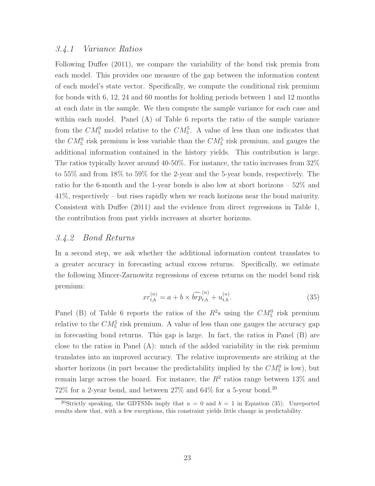### 3.4.1 Variance Ratios

Following Duffee (2011), we compare the variability of the bond risk premia from each model. This provides one measure of the gap between the information content of each model's state vector. Specifically, we compute the conditional risk premium for bonds with 6, 12, 24 and 60 months for holding periods between 1 and 12 months at each date in the sample. We then compute the sample variance for each case and within each model. Panel (A) of Table 6 reports the ratio of the sample variance from the  $CM_5^0$  model relative to the  $CM_5^5$ . A value of less than one indicates that the  $CM_5^0$  risk premium is less variable than the  $CM_5^5$  risk premium, and gauges the additional information contained in the history yields. This contribution is large. The ratios typically hover around 40-50%. For instance, the ratio increases from 32% to 55% and from 18% to 59% for the 2-year and the 5-year bonds, respectively. The ratio for the 6-month and the 1-year bonds is also low at short horizons – 52% and 41%, respectively – but rises rapidly when we reach horizons near the bond maturity. Consistent with Duffee (2011) and the evidence from direct regressions in Table 1, the contribution from past yields increases at shorter horizons.

### 3.4.2 Bond Returns

In a second step, we ask whether the additional information content translates to a greater accuracy in forecasting actual excess returns. Specifically, we estimate the following Mincer-Zarnowitz regressions of excess returns on the model bond risk premium:

$$
xr_{t,h}^{(n)} = a + b \times \widehat{brp}_{t,h}^{(n)} + u_{t,h}^{(n)}.
$$
\n(35)

Panel (B) of Table 6 reports the ratios of the  $R^2$ s using the  $CM_5^0$  risk premium relative to the  $CM_5^5$  risk premium. A value of less than one gauges the accuracy gap in forecasting bond returns. This gap is large. In fact, the ratios in Panel (B) are close to the ratios in Panel (A): much of the added variability in the risk premium translates into an improved accuracy. The relative improvements are striking at the shorter horizons (in part because the predictability implied by the  $CM_5^0$  is low), but remain large across the board. For instance, the  $R^2$  ratios range between 13% and  $72\%$  for a 2-year bond, and between  $27\%$  and  $64\%$  for a 5-year bond.<sup>20</sup>

<sup>&</sup>lt;sup>20</sup>Strictly speaking, the GDTSMs imply that  $a = 0$  and  $b = 1$  in Equation (35). Unreported results show that, with a few exceptions, this constraint yields little change in predictability.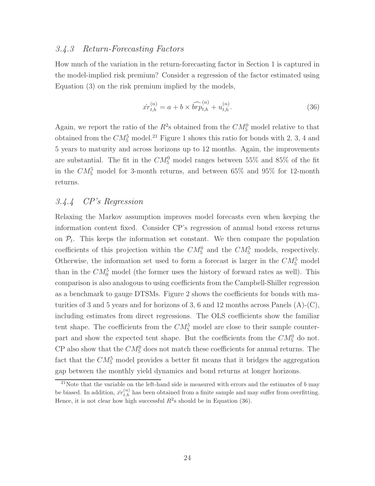### 3.4.3 Return-Forecasting Factors

How much of the variation in the return-forecasting factor in Section 1 is captured in the model-implied risk premium? Consider a regression of the factor estimated using Equation (3) on the risk premium implied by the models,

$$
\hat{x}r_{t,h}^{(n)} = a + b \times \widehat{br}p_{t,h}^{(n)} + u_{t,h}^{(n)}.\tag{36}
$$

Again, we report the ratio of the  $R^2$ s obtained from the  $CM_5^0$  model relative to that obtained from the  $CM_5^5$  model.<sup>21</sup> Figure 1 shows this ratio for bonds with 2, 3, 4 and 5 years to maturity and across horizons up to 12 months. Again, the improvements are substantial. The fit in the  $CM_5^0$  model ranges between 55% and 85% of the fit in the  $CM_5^5$  model for 3-month returns, and between 65% and 95% for 12-month returns.

### 3.4.4 CP's Regression

Relaxing the Markov assumption improves model forecasts even when keeping the information content fixed. Consider CP's regression of annual bond excess returns on  $\mathcal{P}_t$ . This keeps the information set constant. We then compare the population coefficients of this projection within the  $CM_5^0$  and the  $CM_5^5$  models, respectively. Otherwise, the information set used to form a forecast is larger in the  $CM_5^5$  model than in the  $CM_0^5$  model (the former uses the history of forward rates as well). This comparison is also analogous to using coefficients from the Campbell-Shiller regression as a benchmark to gauge DTSMs. Figure 2 shows the coefficients for bonds with maturities of 3 and 5 years and for horizons of 3, 6 and 12 months across Panels  $(A)$ - $(C)$ , including estimates from direct regressions. The OLS coefficients show the familiar tent shape. The coefficients from the  $CM_5^5$  model are close to their sample counterpart and show the expected tent shape. But the coefficients from the  $CM_5^0$  do not. CP also show that the  $CM_5^0$  does not match these coefficients for annual returns. The fact that the  $CM_5^5$  model provides a better fit means that it bridges the aggregation gap between the monthly yield dynamics and bond returns at longer horizons.

<sup>&</sup>lt;sup>21</sup>Note that the variable on the left-hand side is measured with errors and the estimates of  $b$  may be biased. In addition,  $\hat{xr}_{t,h}^{(n)}$  has been obtained from a finite sample and may suffer from overfitting. Hence, it is not clear how high successful  $R^2$ s should be in Equation (36).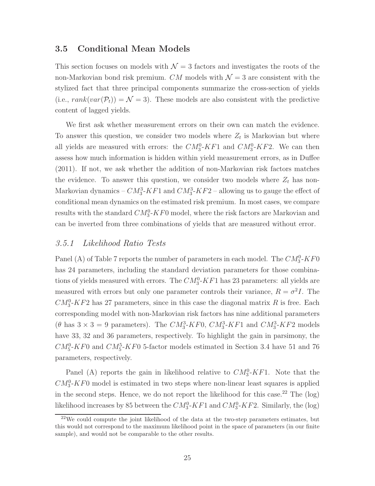### 3.5 Conditional Mean Models

This section focuses on models with  $\mathcal{N} = 3$  factors and investigates the roots of the non-Markovian bond risk premium. CM models with  $\mathcal{N} = 3$  are consistent with the stylized fact that three principal components summarize the cross-section of yields (i.e.,  $rank(var(\mathcal{P}_t)) = \mathcal{N} = 3$ ). These models are also consistent with the predictive content of lagged yields.

We first ask whether measurement errors on their own can match the evidence. To answer this question, we consider two models where  $Z_t$  is Markovian but where all yields are measured with errors: the  $CM_3^0$ -KF1 and  $CM_3^0$ -KF2. We can then assess how much information is hidden within yield measurement errors, as in Duffee (2011). If not, we ask whether the addition of non-Markovian risk factors matches the evidence. To answer this question, we consider two models where  $Z_t$  has non-Markovian dynamics –  $CM_3^3$ - $KF1$  and  $CM_3^3$ - $KF2$  – allowing us to gauge the effect of conditional mean dynamics on the estimated risk premium. In most cases, we compare results with the standard  $CM_3^0$ - $KF0$  model, where the risk factors are Markovian and can be inverted from three combinations of yields that are measured without error.

#### 3.5.1 Likelihood Ratio Tests

Panel (A) of Table 7 reports the number of parameters in each model. The  $CM_3^0$ -KF0 has 24 parameters, including the standard deviation parameters for those combinations of yields measured with errors. The  $CM_3^0$ -KF1 has 23 parameters: all yields are measured with errors but only one parameter controls their variance,  $R = \sigma^2 I$ . The  $CM_3^0$ -KF2 has 27 parameters, since in this case the diagonal matrix R is free. Each corresponding model with non-Markovian risk factors has nine additional parameters  $(\theta \text{ has } 3 \times 3 = 9 \text{ parameters}).$  The  $CM_3^3$ -KF0,  $CM_3^3$ -KF1 and  $CM_3^3$ -KF2 models have 33, 32 and 36 parameters, respectively. To highlight the gain in parsimony, the  $CM_{5}^{0}-KF_{0}$  and  $CM_{5}^{5}-KF_{0}$  5-factor models estimated in Section 3.4 have 51 and 76 parameters, respectively.

Panel (A) reports the gain in likelihood relative to  $CM_3^0$ -KF1. Note that the  $CM<sub>3</sub><sup>0</sup>-KF<sub>0</sub>$  model is estimated in two steps where non-linear least squares is applied in the second steps. Hence, we do not report the likelihood for this case.<sup>22</sup> The  $(\log)$ likelihood increases by 85 between the  $CM_3^0$ -KF1 and  $CM_3^0$ -KF2. Similarly, the (log)

 $22$ We could compute the joint likelihood of the data at the two-step parameters estimates, but this would not correspond to the maximum likelihood point in the space of parameters (in our finite sample), and would not be comparable to the other results.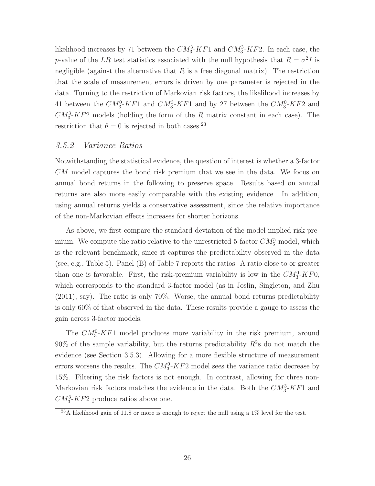likelihood increases by 71 between the  $CM_3^3$ -KF1 and  $CM_3^3$ -KF2. In each case, the p-value of the LR test statistics associated with the null hypothesis that  $R = \sigma^2 I$  is negligible (against the alternative that  $R$  is a free diagonal matrix). The restriction that the scale of measurement errors is driven by one parameter is rejected in the data. Turning to the restriction of Markovian risk factors, the likelihood increases by 41 between the  $CM_3^0$ -KF1 and  $CM_3^3$ -KF1 and by 27 between the  $CM_3^0$ -KF2 and  $CM_3^3$ -KF2 models (holding the form of the R matrix constant in each case). The restriction that  $\theta = 0$  is rejected in both cases.<sup>23</sup>

### 3.5.2 Variance Ratios

Notwithstanding the statistical evidence, the question of interest is whether a 3-factor CM model captures the bond risk premium that we see in the data. We focus on annual bond returns in the following to preserve space. Results based on annual returns are also more easily comparable with the existing evidence. In addition, using annual returns yields a conservative assessment, since the relative importance of the non-Markovian effects increases for shorter horizons.

As above, we first compare the standard deviation of the model-implied risk premium. We compute the ratio relative to the unrestricted 5-factor  $CM_5^5$  model, which is the relevant benchmark, since it captures the predictability observed in the data (see, e.g., Table 5). Panel (B) of Table 7 reports the ratios. A ratio close to or greater than one is favorable. First, the risk-premium variability is low in the  $CM_3^0$ -KF0, which corresponds to the standard 3-factor model (as in Joslin, Singleton, and Zhu (2011), say). The ratio is only 70%. Worse, the annual bond returns predictability is only 60% of that observed in the data. These results provide a gauge to assess the gain across 3-factor models.

The  $CM_3^0$ -KF1 model produces more variability in the risk premium, around  $90\%$  of the sample variability, but the returns predictability  $R^2$ s do not match the evidence (see Section 3.5.3). Allowing for a more flexible structure of measurement errors worsens the results. The  $CM_3^0$ - $KF2$  model sees the variance ratio decrease by 15%. Filtering the risk factors is not enough. In contrast, allowing for three non-Markovian risk factors matches the evidence in the data. Both the  $CM_3^3$ - $KF1$  and  $CM_3^3$ -KF2 produce ratios above one.

 $^{23}$ A likelihood gain of 11.8 or more is enough to reject the null using a 1% level for the test.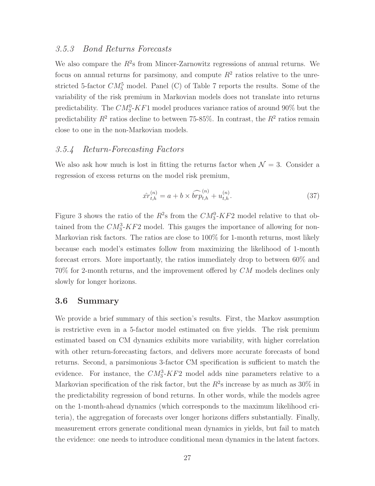### 3.5.3 Bond Returns Forecasts

We also compare the  $R^2$ s from Mincer-Zarnowitz regressions of annual returns. We focus on annual returns for parsimony, and compute  $R^2$  ratios relative to the unrestricted 5-factor  $CM_5^5$  model. Panel (C) of Table 7 reports the results. Some of the variability of the risk premium in Markovian models does not translate into returns predictability. The  $CM_3^0$ -KF1 model produces variance ratios of around 90% but the predictability  $R^2$  ratios decline to between 75-85%. In contrast, the  $R^2$  ratios remain close to one in the non-Markovian models.

### 3.5.4 Return-Forecasting Factors

We also ask how much is lost in fitting the returns factor when  $\mathcal{N} = 3$ . Consider a regression of excess returns on the model risk premium,

$$
\hat{x}r_{t,h}^{(n)} = a + b \times \widehat{br}p_{t,h}^{(n)} + u_{t,h}^{(n)}.\tag{37}
$$

Figure 3 shows the ratio of the  $R^2$ s from the  $CM_3^0$ -KF2 model relative to that obtained from the  $CM_3^3$ -KF2 model. This gauges the importance of allowing for non-Markovian risk factors. The ratios are close to 100% for 1-month returns, most likely because each model's estimates follow from maximizing the likelihood of 1-month forecast errors. More importantly, the ratios immediately drop to between 60% and 70% for 2-month returns, and the improvement offered by CM models declines only slowly for longer horizons.

### 3.6 Summary

We provide a brief summary of this section's results. First, the Markov assumption is restrictive even in a 5-factor model estimated on five yields. The risk premium estimated based on CM dynamics exhibits more variability, with higher correlation with other return-forecasting factors, and delivers more accurate forecasts of bond returns. Second, a parsimonious 3-factor CM specification is sufficient to match the evidence. For instance, the  $CM_3^3$ - $KF2$  model adds nine parameters relative to a Markovian specification of the risk factor, but the  $R^2$ s increase by as much as 30% in the predictability regression of bond returns. In other words, while the models agree on the 1-month-ahead dynamics (which corresponds to the maximum likelihood criteria), the aggregation of forecasts over longer horizons differs substantially. Finally, measurement errors generate conditional mean dynamics in yields, but fail to match the evidence: one needs to introduce conditional mean dynamics in the latent factors.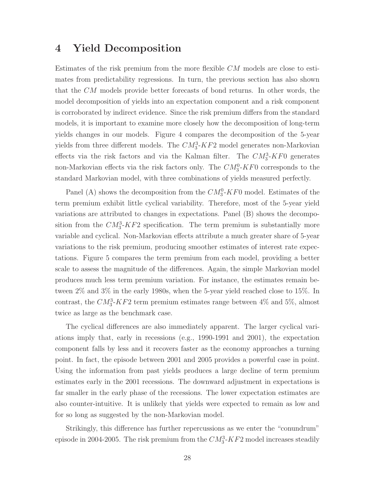### 4 Yield Decomposition

Estimates of the risk premium from the more flexible CM models are close to estimates from predictability regressions. In turn, the previous section has also shown that the CM models provide better forecasts of bond returns. In other words, the model decomposition of yields into an expectation component and a risk component is corroborated by indirect evidence. Since the risk premium differs from the standard models, it is important to examine more closely how the decomposition of long-term yields changes in our models. Figure 4 compares the decomposition of the 5-year yields from three different models. The  $CM_3^3$ - $KF2$  model generates non-Markovian effects via the risk factors and via the Kalman filter. The  $CM_3^3$ -KF0 generates non-Markovian effects via the risk factors only. The  $CM_3^0$ -KF0 corresponds to the standard Markovian model, with three combinations of yields measured perfectly.

Panel (A) shows the decomposition from the  $CM_3^0$ -KF0 model. Estimates of the term premium exhibit little cyclical variability. Therefore, most of the 5-year yield variations are attributed to changes in expectations. Panel (B) shows the decomposition from the  $CM_3^3$ -KF2 specification. The term premium is substantially more variable and cyclical. Non-Markovian effects attribute a much greater share of 5-year variations to the risk premium, producing smoother estimates of interest rate expectations. Figure 5 compares the term premium from each model, providing a better scale to assess the magnitude of the differences. Again, the simple Markovian model produces much less term premium variation. For instance, the estimates remain between 2% and 3% in the early 1980s, when the 5-year yield reached close to 15%. In contrast, the  $CM_3^3$ -KF2 term premium estimates range between 4% and 5%, almost twice as large as the benchmark case.

The cyclical differences are also immediately apparent. The larger cyclical variations imply that, early in recessions (e.g., 1990-1991 and 2001), the expectation component falls by less and it recovers faster as the economy approaches a turning point. In fact, the episode between 2001 and 2005 provides a powerful case in point. Using the information from past yields produces a large decline of term premium estimates early in the 2001 recessions. The downward adjustment in expectations is far smaller in the early phase of the recessions. The lower expectation estimates are also counter-intuitive. It is unlikely that yields were expected to remain as low and for so long as suggested by the non-Markovian model.

Strikingly, this difference has further repercussions as we enter the "conundrum" episode in 2004-2005. The risk premium from the  $CM_3^3$ - $KF2$  model increases steadily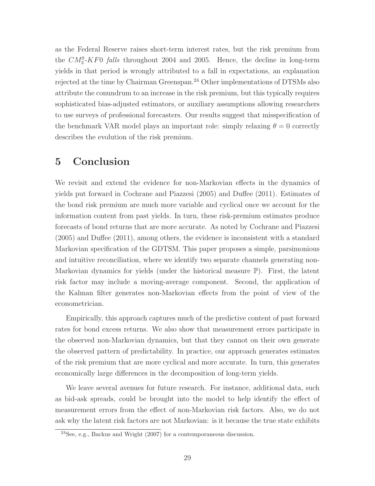as the Federal Reserve raises short-term interest rates, but the risk premium from the  $CM_3^0$ -KF0 falls throughout 2004 and 2005. Hence, the decline in long-term yields in that period is wrongly attributed to a fall in expectations, an explanation rejected at the time by Chairman Greenspan.<sup>24</sup> Other implementations of DTSMs also attribute the conundrum to an increase in the risk premium, but this typically requires sophisticated bias-adjusted estimators, or auxiliary assumptions allowing researchers to use surveys of professional forecasters. Our results suggest that misspecification of the benchmark VAR model plays an important role: simply relaxing  $\theta = 0$  correctly describes the evolution of the risk premium.

## 5 Conclusion

We revisit and extend the evidence for non-Markovian effects in the dynamics of yields put forward in Cochrane and Piazzesi (2005) and Duffee (2011). Estimates of the bond risk premium are much more variable and cyclical once we account for the information content from past yields. In turn, these risk-premium estimates produce forecasts of bond returns that are more accurate. As noted by Cochrane and Piazzesi (2005) and Duffee (2011), among others, the evidence is inconsistent with a standard Markovian specification of the GDTSM. This paper proposes a simple, parsimonious and intuitive reconciliation, where we identify two separate channels generating non-Markovian dynamics for yields (under the historical measure P). First, the latent risk factor may include a moving-average component. Second, the application of the Kalman filter generates non-Markovian effects from the point of view of the econometrician.

Empirically, this approach captures much of the predictive content of past forward rates for bond excess returns. We also show that measurement errors participate in the observed non-Markovian dynamics, but that they cannot on their own generate the observed pattern of predictability. In practice, our approach generates estimates of the risk premium that are more cyclical and more accurate. In turn, this generates economically large differences in the decomposition of long-term yields.

We leave several avenues for future research. For instance, additional data, such as bid-ask spreads, could be brought into the model to help identify the effect of measurement errors from the effect of non-Markovian risk factors. Also, we do not ask why the latent risk factors are not Markovian: is it because the true state exhibits

 $\sqrt[24]{2}$ See, e.g., Backus and Wright (2007) for a contemporaneous discussion.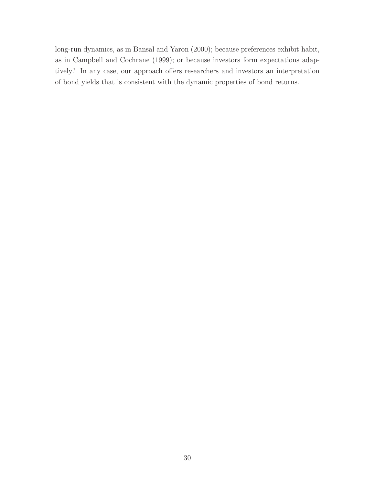long-run dynamics, as in Bansal and Yaron (2000); because preferences exhibit habit, as in Campbell and Cochrane (1999); or because investors form expectations adaptively? In any case, our approach offers researchers and investors an interpretation of bond yields that is consistent with the dynamic properties of bond returns.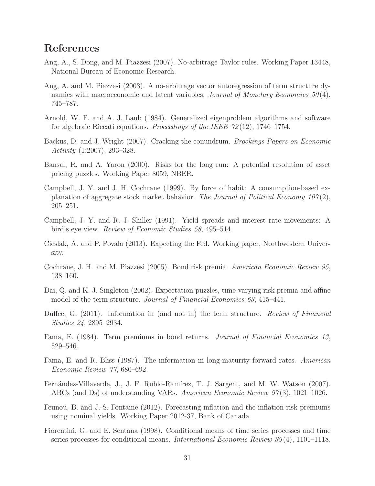# References

- Ang, A., S. Dong, and M. Piazzesi (2007). No-arbitrage Taylor rules. Working Paper 13448, National Bureau of Economic Research.
- Ang, A. and M. Piazzesi (2003). A no-arbitrage vector autoregression of term structure dynamics with macroeconomic and latent variables. Journal of Monetary Economics  $50(4)$ , 745–787.
- Arnold, W. F. and A. J. Laub (1984). Generalized eigenproblem algorithms and software for algebraic Riccati equations. Proceedings of the IEEE 72 (12), 1746–1754.
- Backus, D. and J. Wright (2007). Cracking the conundrum. Brookings Papers on Economic Activity (1:2007), 293–328.
- Bansal, R. and A. Yaron (2000). Risks for the long run: A potential resolution of asset pricing puzzles. Working Paper 8059, NBER.
- Campbell, J. Y. and J. H. Cochrane (1999). By force of habit: A consumption-based explanation of aggregate stock market behavior. The Journal of Political Economy  $107(2)$ , 205–251.
- Campbell, J. Y. and R. J. Shiller (1991). Yield spreads and interest rate movements: A bird's eye view. Review of Economic Studies 58, 495–514.
- Cieslak, A. and P. Povala (2013). Expecting the Fed. Working paper, Northwestern University.
- Cochrane, J. H. and M. Piazzesi (2005). Bond risk premia. American Economic Review 95, 138–160.
- Dai, Q. and K. J. Singleton (2002). Expectation puzzles, time-varying risk premia and affine model of the term structure. Journal of Financial Economics 63, 415–441.
- Duffee, G. (2011). Information in (and not in) the term structure. Review of Financial Studies 24, 2895–2934.
- Fama, E. (1984). Term premiums in bond returns. Journal of Financial Economics 13, 529–546.
- Fama, E. and R. Bliss (1987). The information in long-maturity forward rates. American Economic Review 77, 680–692.
- Fernández-Villaverde, J., J. F. Rubio-Ramírez, T. J. Sargent, and M. W. Watson (2007). ABCs (and Ds) of understanding VARs. American Economic Review 97 (3), 1021–1026.
- Feunou, B. and J.-S. Fontaine (2012). Forecasting inflation and the inflation risk premiums using nominal yields. Working Paper 2012-37, Bank of Canada.
- Fiorentini, G. and E. Sentana (1998). Conditional means of time series processes and time series processes for conditional means. *International Economic Review 39*(4), 1101–1118.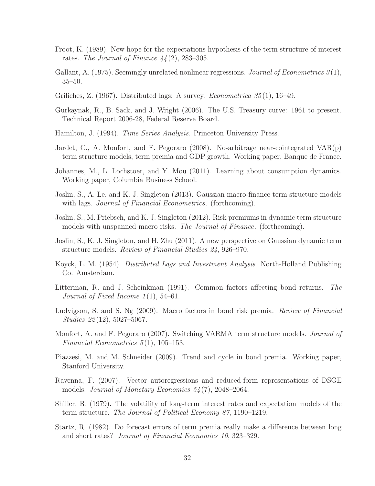- Froot, K. (1989). New hope for the expectations hypothesis of the term structure of interest rates. The Journal of Finance  $44(2)$ , 283-305.
- Gallant, A. (1975). Seemingly unrelated nonlinear regressions. Journal of Econometrics 3(1), 35–50.
- Griliches, Z. (1967). Distributed lags: A survey. *Econometrica*  $35(1)$ , 16–49.
- Gurkaynak, R., B. Sack, and J. Wright (2006). The U.S. Treasury curve: 1961 to present. Technical Report 2006-28, Federal Reserve Board.
- Hamilton, J. (1994). *Time Series Analysis*. Princeton University Press.
- Jardet, C., A. Monfort, and F. Pegoraro (2008). No-arbitrage near-cointegrated VAR(p) term structure models, term premia and GDP growth. Working paper, Banque de France.
- Johannes, M., L. Lochstoer, and Y. Mou (2011). Learning about consumption dynamics. Working paper, Columbia Business School.
- Joslin, S., A. Le, and K. J. Singleton (2013). Gaussian macro-finance term structure models with lags. *Journal of Financial Econometrics*. (forthcoming).
- Joslin, S., M. Priebsch, and K. J. Singleton (2012). Risk premiums in dynamic term structure models with unspanned macro risks. The Journal of Finance. (forthcoming).
- Joslin, S., K. J. Singleton, and H. Zhu (2011). A new perspective on Gaussian dynamic term structure models. Review of Financial Studies 24, 926–970.
- Koyck, L. M. (1954). *Distributed Lags and Investment Analysis*. North-Holland Publishing Co. Amsterdam.
- Litterman, R. and J. Scheinkman (1991). Common factors affecting bond returns. The Journal of Fixed Income  $1(1)$ , 54–61.
- Ludvigson, S. and S. Ng (2009). Macro factors in bond risk premia. Review of Financial Studies 22 (12), 5027–5067.
- Monfort, A. and F. Pegoraro (2007). Switching VARMA term structure models. *Journal of* Financial Econometrics  $5(1)$ , 105–153.
- Piazzesi, M. and M. Schneider (2009). Trend and cycle in bond premia. Working paper, Stanford University.
- Ravenna, F. (2007). Vector autoregressions and reduced-form representations of DSGE models. Journal of Monetary Economics 54 (7), 2048–2064.
- Shiller, R. (1979). The volatility of long-term interest rates and expectation models of the term structure. The Journal of Political Economy 87, 1190–1219.
- Startz, R. (1982). Do forecast errors of term premia really make a difference between long and short rates? Journal of Financial Economics 10, 323–329.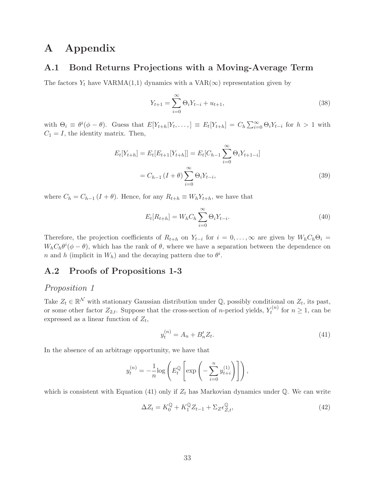# A Appendix

### A.1 Bond Returns Projections with a Moving-Average Term

The factors  $Y_t$  have VARMA(1,1) dynamics with a VAR( $\infty$ ) representation given by

$$
Y_{t+1} = \sum_{i=0}^{\infty} \Theta_i Y_{t-i} + u_{t+1},
$$
\n(38)

with  $\Theta_i \equiv \theta^i(\phi - \theta)$ . Guess that  $E[Y_{t+h}|Y_t, \ldots] \equiv E_t[Y_{t+h}] = C_h \sum_{i=0}^{\infty} \Theta_i Y_{t-i}$  for  $h > 1$  with  $C_1 = I$ , the identity matrix. Then,

$$
E_t[Y_{t+h}] = E_t[E_{t+1}[Y_{t+h}]] = E_t[C_{h-1} \sum_{i=0}^{\infty} \Theta_i Y_{t+1-i}]
$$
  
=  $C_{h-1} (I + \theta) \sum_{i=0}^{\infty} \Theta_i Y_{t-i},$  (39)

where  $C_h = C_{h-1} (I + \theta)$ . Hence, for any  $R_{t+h} \equiv W_h Y_{t+h}$ , we have that

$$
E_t[R_{t+h}] = W_h C_h \sum_{i=0}^{\infty} \Theta_i Y_{t-i}.
$$
\n(40)

Therefore, the projection coefficients of  $R_{t+h}$  on  $Y_{t-i}$  for  $i = 0, \ldots, \infty$  are given by  $W_h C_h \Theta_i =$  $W_h C_h \theta^i (\phi - \theta)$ , which has the rank of  $\theta$ , where we have a separation between the dependence on n and h (implicit in  $W_h$ ) and the decaying pattern due to  $\theta^i$ .

### A.2 Proofs of Propositions 1-3

### Proposition 1

Take  $Z_t \in \mathbb{R}^N$  with stationary Gaussian distribution under Q, possibly conditional on  $Z_t$ , its past, or some other factor  $Z_{2,t}$ . Suppose that the cross-section of *n*-period yields,  $Y_t^{(n)}$  $t^{(n)}$  for  $n \geq 1$ , can be expressed as a linear function of  $Z_t$ ,

$$
y_t^{(n)} = A_n + B_n' Z_t.
$$
 (41)

In the absence of an arbitrage opportunity, we have that

$$
y_t^{(n)} = -\frac{1}{n} \log \left( E_t^{\mathbb{Q}} \left[ \exp \left( -\sum_{i=0}^n y_{t+i}^{(1)} \right) \right] \right),
$$

which is consistent with Equation (41) only if  $Z_t$  has Markovian dynamics under  $\mathbb{Q}$ . We can write

$$
\Delta Z_t = K_0^{\mathbb{Q}} + K_1^{\mathbb{Q}} Z_{t-1} + \Sigma_Z \epsilon_{Z,t}^{\mathbb{Q}},\tag{42}
$$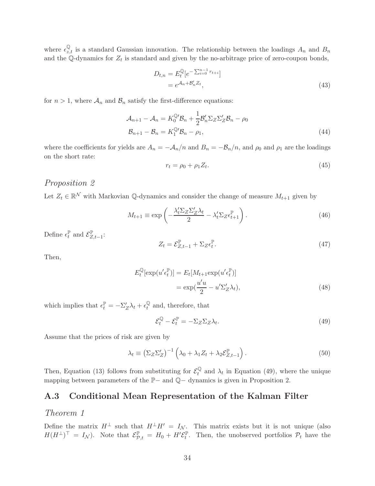where  $\epsilon_{z,t}^{\mathbb{Q}}$  is a standard Gaussian innovation. The relationship between the loadings  $A_n$  and  $B_n$ and the Q-dynamics for  $Z_t$  is standard and given by the no-arbitrage price of zero-coupon bonds,

$$
D_{t,n} = E_t^{\mathbb{Q}} [e^{-\sum_{i=0}^{n-1} r_{t+i}}]
$$
  
=  $e^{\mathcal{A}_n + \mathcal{B}'_n Z_t}$ , (43)

for  $n > 1$ , where  $\mathcal{A}_n$  and  $\mathcal{B}_n$  satisfy the first-difference equations:

$$
\mathcal{A}_{n+1} - \mathcal{A}_n = K_0^{\mathbb{Q}'} \mathcal{B}_n + \frac{1}{2} \mathcal{B}'_n \Sigma_Z \Sigma'_Z \mathcal{B}_n - \rho_0
$$
  

$$
\mathcal{B}_{n+1} - \mathcal{B}_n = K_1^{\mathbb{Q}'} \mathcal{B}_n - \rho_1,
$$
 (44)

where the coefficients for yields are  $A_n = -\mathcal{A}_n/n$  and  $B_n = -\mathcal{B}_n/n$ , and  $\rho_0$  and  $\rho_1$  are the loadings on the short rate:

$$
r_t = \rho_0 + \rho_1 Z_t. \tag{45}
$$

### Proposition 2

Let  $Z_t \in \mathbb{R}^N$  with Markovian Q-dynamics and consider the change of measure  $M_{t+1}$  given by

$$
M_{t+1} \equiv \exp\left(-\frac{\lambda_t' \Sigma_Z \Sigma_Z' \lambda_t}{2} - \lambda_t' \Sigma_Z \epsilon_{t+1}^{\mathbb{P}}\right). \tag{46}
$$

Define  $\epsilon_t^{\mathbb{P}}$  and  $\mathcal{E}_{Z,t-1}^{\mathbb{P}}$ :

$$
Z_t = \mathcal{E}_{Z,t-1}^{\mathbb{P}} + \Sigma_Z \epsilon_t^{\mathbb{P}}.
$$
\n(47)

Then,

$$
E_t^{\mathbb{Q}}[\exp(u'\epsilon_t^{\mathbb{P}})] = E_t[M_{t+1}\exp(u'\epsilon_t^{\mathbb{P}})]
$$
  
= 
$$
\exp(\frac{u'u}{2} - u'\Sigma'_Z\lambda_t),
$$
 (48)

which implies that  $\epsilon_t^{\mathbb{P}} = -\Sigma_Z' \lambda_t + \epsilon_t^{\mathbb{Q}}$  $t<sup>Q</sup>$  and, therefore, that

$$
\mathcal{E}_t^{\mathbb{Q}} - \mathcal{E}_t^{\mathbb{P}} = -\Sigma_Z \Sigma_Z \lambda_t.
$$
\n(49)

Assume that the prices of risk are given by

$$
\lambda_t \equiv \left(\Sigma_Z \Sigma_Z'\right)^{-1} \left(\lambda_0 + \lambda_1 Z_t + \lambda_2 \mathcal{E}_{Z,t-1}^{\mathbb{P}}\right). \tag{50}
$$

Then, Equation (13) follows from substituting for  $\mathcal{E}_t^{\mathbb{Q}}$  $t_t^{\mathbb{Q}}$  and  $\lambda_t$  in Equation (49), where the unique mapping between parameters of the P− and Q− dynamics is given in Proposition 2.

### A.3 Conditional Mean Representation of the Kalman Filter

### Theorem 1

Define the matrix  $H^{\perp}$  such that  $H^{\perp}H' = I_{\mathcal{N}}$ . This matrix exists but it is not unique (also  $H(H^{\perp})^{\perp} = I_{\mathcal{N}}$ ). Note that  $\mathcal{E}_{\mathcal{P},t}^{\mathbb{P}} = H_0 + H'\mathcal{E}_t^{\mathbb{P}}$ . Then, the unobserved portfolios  $\mathcal{P}_t$  have the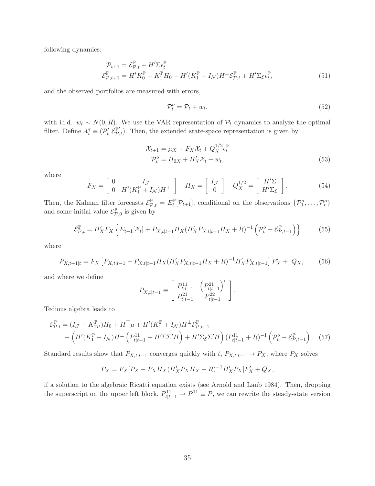following dynamics:

$$
\mathcal{P}_{t+1} = \mathcal{E}_{\mathcal{P},t}^{\mathbb{P}} + H' \Sigma \epsilon_t^{\mathbb{P}}
$$
\n
$$
\mathcal{E}_{\mathcal{P},t+1}^{\mathbb{P}} = H' K_0^{\mathbb{P}} - K_1^{\mathbb{P}} H_0 + H'(K_1^{\mathbb{P}} + I_{\mathcal{N}}) H^{\perp} \mathcal{E}_{\mathcal{P},t}^{\mathbb{P}} + H' \Sigma_{\mathcal{E}} \epsilon_t^{\mathbb{P}},
$$
\n(51)

and the observed portfolios are measured with errors,

$$
\mathcal{P}_t^o = \mathcal{P}_t + w_t,\tag{52}
$$

with i.i.d.  $w_t \sim N(0, R)$ . We use the VAR representation of  $\mathcal{P}_t$  dynamics to analyze the optimal filter. Define  $\mathcal{X}'_t \equiv (\mathcal{P}'_t \mathcal{E}_{\mathcal{P},t}^{\mathbb{P}'})$ . Then, the extended state-space representation is given by

$$
\mathcal{X}_{t+1} = \mu_X + F_X \mathcal{X}_t + Q_X^{1/2} \epsilon_t^{\mathbb{P}}
$$
  

$$
\mathcal{P}_t^o = H_{0X} + H'_X \mathcal{X}_t + w_t,
$$
 (53)

where

$$
F_X = \begin{bmatrix} 0 & I_{\mathcal{J}} \\ 0 & H'(K_1^{\mathbb{P}} + I_{\mathcal{N}})H^{\perp} \end{bmatrix} \quad H_X = \begin{bmatrix} I_{\mathcal{J}} \\ 0 \end{bmatrix} \quad Q_X^{1/2} = \begin{bmatrix} H'\Sigma \\ H'\Sigma_{\mathcal{E}} \end{bmatrix}.
$$
 (54)

Then, the Kalman filter forecasts  $\mathcal{E}_{\mathcal{P},t}^{\mathbb{P}} = E_t^{\mathbb{P}}[\mathcal{P}_{t+1}]$ , conditional on the observations  $\{\mathcal{P}_1^o,\ldots,\mathcal{P}_t^o\}$ and some initial value  $\mathcal{E}_{\mathcal{P},0}^{\mathbb{P}}$  is given by

$$
\mathcal{E}_{\mathcal{P},t}^{\mathbb{P}} = H_X' F_X \left\{ E_{t-1}[\mathcal{X}_t] + P_{X,t|t-1} H_X(H_X' P_{X,t|t-1} H_X + R)^{-1} \left( \mathcal{P}_t^o - \mathcal{E}_{\mathcal{P},t-1}^{\mathbb{P}} \right) \right\}
$$
(55)

where

$$
P_{X,t+1|t} = F_X \left[ P_{X,t|t-1} - P_{X,t|t-1} H_X (H'_X P_{X,t|t-1} H_X + R)^{-1} H'_X P_{X,t|t-1} \right] F'_X + Q_X, \tag{56}
$$

and where we define

$$
P_{X,t|t-1} \equiv \left[ \begin{array}{cc} P_{t|t-1}^{11} & \left( P_{t|t-1}^{21} \right)' \\ P_{t|t-1}^{21} & P_{t|t-1}^{22} \end{array} \right].
$$

Tedious algebra leads to

$$
\mathcal{E}_{\mathcal{P},t}^{\mathbb{P}} = (I_{\mathcal{J}} - K_{1\mathcal{P}}^{\mathbb{P}})H_0 + H^{\top}\mu + H'(K_1^{\mathbb{P}} + I_{\mathcal{N}})H^{\perp}\mathcal{E}_{\mathcal{P},t-1}^{\mathbb{P}} + \left(H'(K_1^{\mathbb{P}} + I_{\mathcal{N}})H^{\perp}\left(P_{t|t-1}^{11} - H'\Sigma\Sigma'H\right) + H'\Sigma_{\mathcal{E}}\Sigma'H\right)(P_{t|t-1}^{11} + R)^{-1}\left(\mathcal{P}_{t}^{o} - \mathcal{E}_{\mathcal{P},t-1}^{\mathbb{P}}\right). (57)
$$

Standard results show that  $P_{X,t|t-1}$  converges quickly with  $t$ ,  $P_{X,t|t-1} \to P_X$ , where  $P_X$  solves

$$
P_X = F_X [P_X - P_X H_X (H'_X P_X H_X + R)^{-1} H'_X P_X] F'_X + Q_X,
$$

if a solution to the algebraic Ricatti equation exists (see Arnold and Laub 1984). Then, dropping the superscript on the upper left block,  $P_{t|t-1}^{11} \to P^{11} \equiv P$ , we can rewrite the steady-state version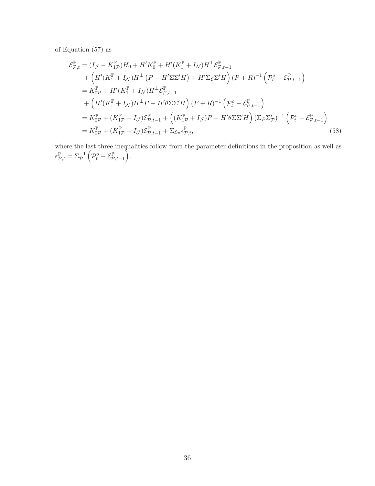of Equation (57) as

$$
\mathcal{E}_{\mathcal{P},t}^{\mathbb{P}} = (I_{\mathcal{J}} - K_{1\mathcal{P}}^{\mathbb{P}})H_{0} + H'K_{0}^{\mathbb{P}} + H'(K_{1}^{\mathbb{P}} + I_{\mathcal{N}})H^{\perp}\mathcal{E}_{\mathcal{P},t-1}^{\mathbb{P}} + \left(H'(K_{1}^{\mathbb{P}} + I_{\mathcal{N}})H^{\perp}(P - H'\Sigma\Sigma'H) + H'\Sigma_{\mathcal{E}}\Sigma'H\right)(P + R)^{-1}\left(\mathcal{P}_{t}^{o} - \mathcal{E}_{\mathcal{P},t-1}^{\mathbb{P}}\right) \\
= K_{0\mathcal{P}}^{\mathbb{P}} + H'(K_{1}^{\mathbb{P}} + I_{\mathcal{N}})H^{\perp}\mathcal{E}_{\mathcal{P},t-1}^{\mathbb{P}} + \left(H'(K_{1}^{\mathbb{P}} + I_{\mathcal{N}})H^{\perp}P - H'\theta\Sigma\Sigma'H\right)(P + R)^{-1}\left(\mathcal{P}_{t}^{o} - \mathcal{E}_{\mathcal{P},t-1}^{\mathbb{P}}\right) \\
= K_{0\mathcal{P}}^{\mathbb{P}} + (K_{1\mathcal{P}}^{\mathbb{P}} + I_{\mathcal{J}})\mathcal{E}_{\mathcal{P},t-1}^{\mathbb{P}} + \left((K_{1\mathcal{P}}^{\mathbb{P}} + I_{\mathcal{J}})P - H'\theta\Sigma\Sigma'H\right)(\Sigma_{\mathcal{P}}\Sigma_{\mathcal{P}}')^{-1}\left(\mathcal{P}_{t}^{o} - \mathcal{E}_{\mathcal{P},t-1}^{\mathbb{P}}\right) \\
= K_{0\mathcal{P}}^{\mathbb{P}} + (K_{1\mathcal{P}}^{\mathbb{P}} + I_{\mathcal{J}})\mathcal{E}_{\mathcal{P},t-1}^{\mathbb{P}} + \Sigma_{\mathcal{E}_{\mathcal{P}}} \mathcal{E}_{\mathcal{P},t}^{\mathbb{P}}, \tag{58}
$$

where the last three inequalities follow from the parameter definitions in the proposition as well as  $\epsilon^{\mathbb{P}}_{\mathcal{P},t} = \Sigma_{\mathcal{P}}^{-1}$  $\left(\mathcal{P}_t^o-\mathcal{E}_{\mathcal{P},t-1}^{\mathbb{P}}\right)$ Ĵ.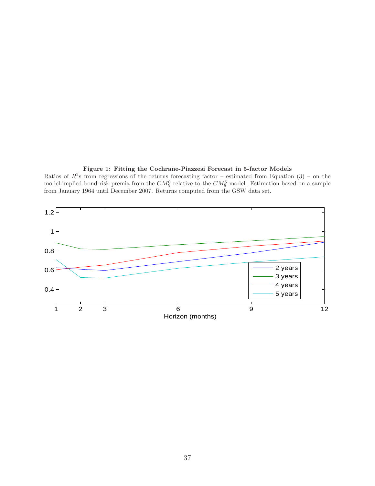

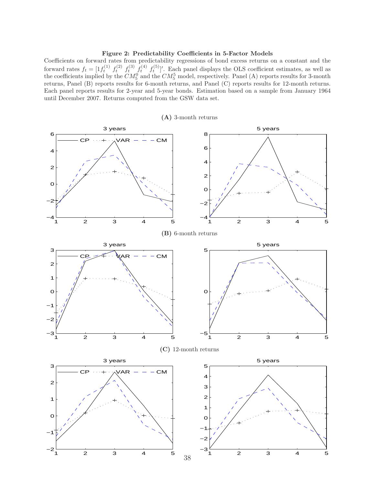#### Figure 2: Predictability Coefficients in 5-Factor Models

Coefficients on forward rates from predictability regressions of bond excess returns on a constant and the forward rates  $f_t = [1f_t^{(1)} f_t^{(2)} f_t^{(3)} f_t^{(4)} f_t^{(5)}]'$ . Each panel displays the OLS coefficient estimates, as well as the coefficients implied by the  $CM_5^0$  and the  $CM_5^5$  model, respectively. Panel (A) reports results for 3-month returns, Panel (B) reports results for 6-month returns, and Panel (C) reports results for 12-month returns. Each panel reports results for 2-year and 5-year bonds. Estimation based on a sample from January 1964 until December 2007. Returns computed from the GSW data set.

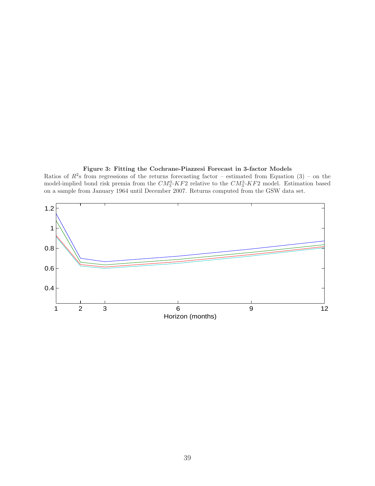

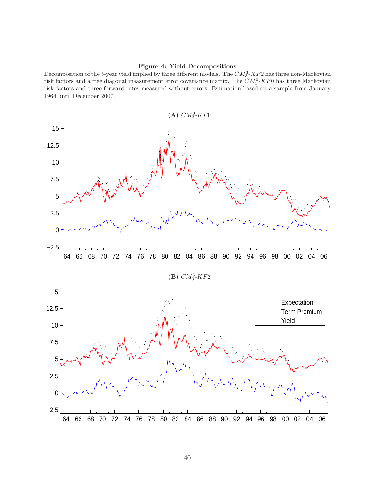#### Figure 4: Yield Decompositions

Decomposition of the 5-year yield implied by three different models. The  $CM_3^3$ -KF2 has three non-Markovian risk factors and a free diagonal measurement error covariance matrix. The  $CM_3^0$ -KF0 has three Markovian risk factors and three forward rates measured without errors. Estimation based on a sample from January 1964 until December 2007.

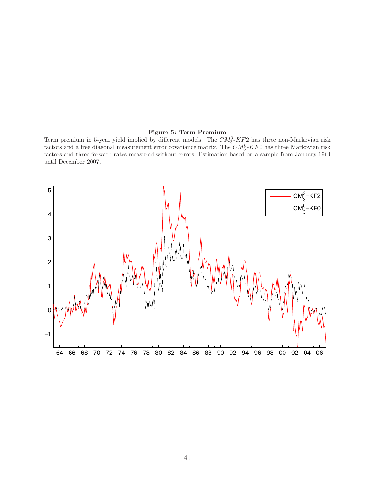#### Figure 5: Term Premium

Term premium in 5-year yield implied by different models. The  $CM_3^3$ - $KF_2^2$  has three non-Markovian risk factors and a free diagonal measurement error covariance matrix. The  $CM_3^0$ -KF0 has three Markovian risk factors and three forward rates measured without errors. Estimation based on a sample from January 1964 until December 2007.

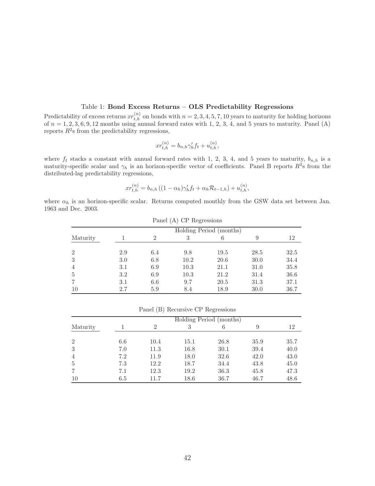#### Table 1: Bond Excess Returns – OLS Predictability Regressions

Predictability of excess returns  $xr_{t,h}^{(n)}$  on bonds with  $n = 2, 3, 4, 5, 7, 10$  years to maturity for holding horizons of  $n = 1, 2, 3, 6, 9, 12$  months using annual forward rates with 1, 2, 3, 4, and 5 years to maturity. Panel (A) reports  $R^2$ s from the predictability regressions,

$$
x r_{t,h}^{(n)} = b_{n,h} \gamma_h' f_t + u_{t,h}^{(n)},
$$

where  $f_t$  stacks a constant with annual forward rates with 1, 2, 3, 4, and 5 years to maturity,  $b_{n,h}$  is a maturity-specific scalar and  $\gamma_h$  is an horizon-specific vector of coefficients. Panel B reports  $R^2$ s from the distributed-lag predictability regressions,

$$
xr_{t,h}^{(n)} = b_{n,h} \left( (1 - \alpha_h) \gamma_h' f_t + \alpha_h \mathcal{R}_{t-1,h} \right) + u_{t,h}^{(n)},
$$

where  $\alpha_h$  is an horizon-specific scalar. Returns computed monthly from the GSW data set between Jan. 1963 and Dec. 2003.

|                |     |               | Patter (A) UP regressions |                         |      |      |
|----------------|-----|---------------|---------------------------|-------------------------|------|------|
|                |     |               |                           | Holding Period (months) |      |      |
| Maturity       |     | $\mathcal{D}$ |                           |                         | 9    | 12   |
|                |     |               |                           |                         |      |      |
| $\overline{2}$ | 2.9 | 6.4           | 9.8                       | 19.5                    | 28.5 | 32.5 |
| 3              | 3.0 | 6.8           | 10.2                      | 20.6                    | 30.0 | 34.4 |
| $\overline{4}$ | 3.1 | 6.9           | 10.3                      | 21.1                    | 31.0 | 35.8 |
| 5              | 3.2 | 6.9           | 10.3                      | 21.2                    | 31.4 | 36.6 |
|                | 3.1 | 6.6           | 9.7                       | 20.5                    | 31.3 | 37.1 |
| 10             | 2.7 | 5.9           | 8.4                       | 18.9                    | 30.0 | 36.7 |

 $P_{\text{enol}}(\Lambda)$  CP Regressions

Panel (B) Recursive CP Regressions

|                |     |                |      | Holding Period (months) |      |      |
|----------------|-----|----------------|------|-------------------------|------|------|
| Maturity       |     | $\mathfrak{D}$ |      | 6                       | 9    | 12   |
| $\overline{2}$ | 6.6 | 10.4           | 15.1 | 26.8                    | 35.9 | 35.7 |
| 3              | 7.0 | 11.3           | 16.8 | 30.1                    | 39.4 | 40.0 |
| $\overline{4}$ | 7.2 | 11.9           | 18.0 | 32.6                    | 42.0 | 43.0 |
| 5              | 7.3 | 12.2           | 18.7 | 34.4                    | 43.8 | 45.0 |
|                | 7.1 | 12.3           | 19.2 | 36.3                    | 45.8 | 47.3 |
| 10             | 6.5 | 11.7           | 18.6 | 36.7                    | 46.7 | 48.6 |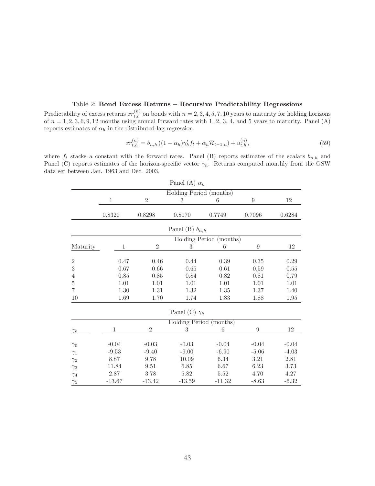#### Table 2: Bond Excess Returns – Recursive Predictability Regressions

Predictability of excess returns  $xr_{t,h}^{(n)}$  on bonds with  $n = 2, 3, 4, 5, 7, 10$  years to maturity for holding horizons of  $n = 1, 2, 3, 6, 9, 12$  months using annual forward rates with 1, 2, 3, 4, and 5 years to maturity. Panel (A) reports estimates of  $\alpha_h$  in the distributed-lag regression

$$
xr_{t,h}^{(n)} = b_{n,h} \left( (1 - \alpha_h) \gamma_h' f_t + \alpha_h \mathcal{R}_{t-1,h} \right) + u_{t,h}^{(n)},\tag{59}
$$

where  $f_t$  stacks a constant with the forward rates. Panel (B) reports estimates of the scalars  $b_{n,h}$  and Panel (C) reports estimates of the horizon-specific vector  $\gamma_h$ . Returns computed monthly from the GSW data set between Jan. 1963 and Dec. 2003.

|                  |              |                | Panel (A) $\alpha_h$    |                         |                  |          |
|------------------|--------------|----------------|-------------------------|-------------------------|------------------|----------|
|                  |              |                | Holding Period (months) |                         |                  |          |
|                  | $\mathbf{1}$ | $\overline{2}$ | $\boldsymbol{3}$        | 6                       | $\boldsymbol{9}$ | 12       |
|                  | 0.8320       | 0.8298         | 0.8170                  | 0.7749                  | 0.7096           | 0.6284   |
|                  |              |                | Panel (B) $b_{n,h}$     |                         |                  |          |
|                  |              |                |                         | Holding Period (months) |                  |          |
| Maturity         | $\mathbf{1}$ | $\sqrt{2}$     | 3                       | 6                       | 9                | $12\,$   |
| $\,2$            | 0.47         | 0.46           | 0.44                    | $0.39\,$                | $0.35\,$         | $0.29\,$ |
| $\boldsymbol{3}$ | 0.67         | $0.66\,$       | $0.65\,$                | $0.61\,$                | 0.59             | $0.55\,$ |
| $\,4\,$          | 0.85         | 0.85           | 0.84                    | 0.82                    | 0.81             | 0.79     |
| $\bf 5$          | 1.01         | 1.01           | 1.01                    | 1.01                    | 1.01             | 1.01     |
| $\overline{7}$   | 1.30         | 1.31           | 1.32                    | 1.35                    | 1.37             | 1.40     |
| $10\,$           | 1.69         | 1.70           | 1.74                    | 1.83                    | 1.88             | $1.95\,$ |
|                  |              |                | Panel (C) $\gamma_h$    |                         |                  |          |
|                  |              |                | Holding Period (months) |                         |                  |          |
| $\gamma_h$       | $\mathbf{1}$ | $\sqrt{2}$     | 3                       | 6                       | $\overline{9}$   | 12       |
|                  | $-0.04$      | $-0.03$        | $-0.03$                 | $-0.04$                 | $-0.04$          | $-0.04$  |
| $\gamma_0$       | $-9.53$      | $-9.40$        | $-9.00$                 | $-6.90$                 | $-5.06$          | $-4.03$  |
| $\gamma_1$       |              |                |                         |                         |                  |          |
| $\gamma_2$       | 8.87         | 9.78           | 10.09                   | $6.34\,$                | 3.21             | $2.81\,$ |
| $\gamma_3$       | 11.84        | 9.51           | 6.85                    | 6.67                    | 6.23             | 3.73     |
| $\gamma_4$       | 2.87         | 3.78           | 5.82                    | 5.52                    | 4.70             | 4.27     |
| $\gamma_5$       | $-13.67$     | $-13.42$       | $-13.59$                | $-11.32$                | $-8.63$          | $-6.32$  |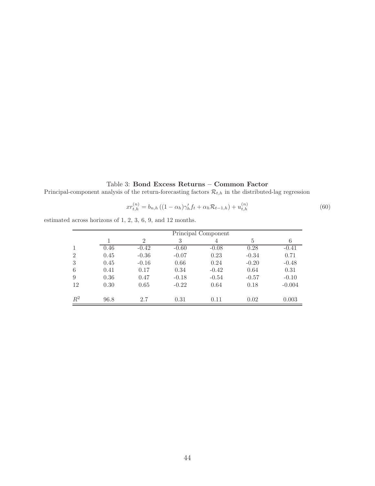### Table 3: Bond Excess Returns – Common Factor

Principal-component analysis of the return-forecasting factors  $\mathcal{R}_{t,h}$  in the distributed-lag regression

$$
xr_{t,h}^{(n)} = b_{n,h} \left( (1 - \alpha_h) \gamma_h' f_t + \alpha_h \mathcal{R}_{t-1,h} \right) + u_{t,h}^{(n)} \tag{60}
$$

estimated across horizons of 1, 2, 3, 6, 9, and 12 months.

|                |      | Principal Component |         |         |         |          |  |  |  |
|----------------|------|---------------------|---------|---------|---------|----------|--|--|--|
|                |      | $\overline{2}$      | 3       | 4       | 5       | 6        |  |  |  |
|                | 0.46 | $-0.42$             | $-0.60$ | $-0.08$ | 0.28    | $-0.41$  |  |  |  |
| $\overline{2}$ | 0.45 | $-0.36$             | $-0.07$ | 0.23    | $-0.34$ | 0.71     |  |  |  |
| 3              | 0.45 | $-0.16$             | 0.66    | 0.24    | $-0.20$ | $-0.48$  |  |  |  |
| 6              | 0.41 | 0.17                | 0.34    | $-0.42$ | 0.64    | 0.31     |  |  |  |
| 9              | 0.36 | 0.47                | $-0.18$ | $-0.54$ | $-0.57$ | $-0.10$  |  |  |  |
| 12             | 0.30 | 0.65                | $-0.22$ | 0.64    | 0.18    | $-0.004$ |  |  |  |
| $R^2$          | 96.8 | 2.7                 | 0.31    | 0.11    | 0.02    | 0.003    |  |  |  |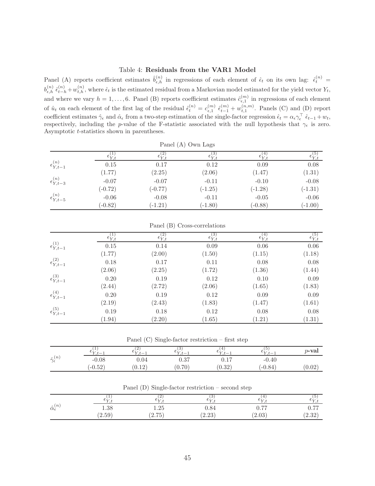#### Table 4: Residuals from the VAR1 Model

Panel (A) reports coefficient estimates  $\hat{b}_{\epsilon,h}^{(n)}$  in regressions of each element of  $\hat{\epsilon}_t$  on its own lag:  $\hat{\epsilon}_t^{(n)}$  =  $b_{\epsilon,h}^{(n)} \hat{\epsilon}_{t-h}^{(n)} + w_{t,h}^{(n)}$ , where  $\hat{\epsilon}_t$  is the estimated residual from a Markovian model estimated for the yield vector  $Y_t$ , and where we vary  $h = 1, \ldots, 6$ . Panel (B) reports coefficient estimates  $\hat{c}_{\epsilon,1}^{(m)}$  in regressions of each element of  $\hat{u}_t$  on each element of the first lag of the residual  $\hat{\epsilon}_t^{(n)} = c_{\epsilon,1}^{(m)} \hat{\epsilon}_{t-1}^{(m)} + w_{t,1}^{(n,m)}$ . Panels (C) and (D) report coefficient estimates  $\hat{\gamma}_{\epsilon}$  and  $\hat{\alpha}_{\epsilon}$  from a two-step estimation of the single-factor regression  $\hat{\epsilon}_t = \alpha_{\epsilon} \gamma_{\epsilon}^{\top} \hat{\epsilon}_{t-1} + w_t$ , respectively, including the p-value of the F-statistic associated with the null hypothesis that  $\gamma_{\epsilon}$  is zero. Asymptotic t-statistics shown in parentheses.

|                          |                  |                  | Panel (A) Own Lags                       |                  |                         |
|--------------------------|------------------|------------------|------------------------------------------|------------------|-------------------------|
|                          | $\epsilon_{Y,t}$ | $\epsilon_{Y,t}$ | $\epsilon_{\mathrm{Y}^\prime\mathrm{f}}$ | $\epsilon_{Y,t}$ | $\epsilon_{Y,t}^{\vee}$ |
| $\epsilon_{Y,t-1}^{(n)}$ | 0.15             | 0.17             | 0.12                                     | 0.09             | 0.08                    |
|                          | (1.77)           | (2.25)           | (2.06)                                   | (1.47)           | (1.31)                  |
| $\epsilon_{Y,t-3}^{(n)}$ | $-0.07$          | $-0.07$          | $-0.11$                                  | $-0.10$          | $-0.08$                 |
|                          | $(-0.72)$        | $(-0.77)$        | $(-1.25)$                                | $(-1.28)$        | $(-1.31)$               |
| $\epsilon_{Y,t-5}^{(n)}$ | $-0.06$          | $-0.08$          | $-0.11$                                  | $-0.05$          | $-0.06$                 |
|                          | $(-0.82)$        | $(-1.21)$        | $(-1.80)$                                | $(-0.88)$        | $(-1.00)$               |

|                          | $\epsilon_{Y,t}^{(1)}$ | $\epsilon_{Y,t}^{(2)}$ | $\epsilon_{Y,t}^{(3)}$ | $\epsilon_{Y,t}^{(4)}$ | $\epsilon_{Y,t}^{(5)}$ |  |  |  |  |  |
|--------------------------|------------------------|------------------------|------------------------|------------------------|------------------------|--|--|--|--|--|
| $\epsilon_{Y,t-1}^{(1)}$ | 0.15                   | 0.14                   | 0.09                   | 0.06                   | $0.06\,$               |  |  |  |  |  |
|                          | (1.77)                 | (2.00)                 | (1.50)                 | (1.15)                 | (1.18)                 |  |  |  |  |  |
| $\epsilon_{Y,t-1}^{(2)}$ | 0.18                   | 0.17                   | 0.11                   | 0.08                   | 0.08                   |  |  |  |  |  |
|                          | (2.06)                 | (2.25)                 | (1.72)                 | (1.36)                 | (1.44)                 |  |  |  |  |  |
| $\epsilon_{Y,t-1}^{(3)}$ | 0.20                   | 0.19                   | 0.12                   | 0.10                   | 0.09                   |  |  |  |  |  |
|                          | (2.44)                 | (2.72)                 | (2.06)                 | (1.65)                 | (1.83)                 |  |  |  |  |  |
| $\epsilon_{Y,t-1}^{(4)}$ | 0.20                   | 0.19                   | 0.12                   | 0.09                   | 0.09                   |  |  |  |  |  |
|                          | (2.19)                 | (2.43)                 | (1.83)                 | (1.47)                 | (1.61)                 |  |  |  |  |  |
| $\epsilon_{Y,t-1}^{(5)}$ | 0.19                   | 0.18                   | 0.12                   | 0.08                   | 0.08                   |  |  |  |  |  |
|                          | (1.94)                 | (2.20)                 | (1.65)                 | (1.21)                 | (1.31)                 |  |  |  |  |  |

Panel (B) Cross-correlations

Panel (C) Single-factor restriction – first step

|                             | r —       | -4<br>$C_{V+}$<br>. — | $\cdot$<br>$\pm$<br>. — | $\pm$       | Бl<br>U⊾z<br>. — | $p$ -val |
|-----------------------------|-----------|-----------------------|-------------------------|-------------|------------------|----------|
| $\hat{\gamma}^{(n)}$<br>. L | $-0.08$   | $0.04\,$              | .27<br>0.01             | $J \cdot L$ | $-0.40$          |          |
|                             | $(-0.52)$ | 19<br>U.⊥∠            | 0.70                    | (0.32)      | $(-0.84)$        | 0.02     |

Panel (D) Single-factor restriction – second step

|                                 |                           | ______          |                                   | __                      |                                         |
|---------------------------------|---------------------------|-----------------|-----------------------------------|-------------------------|-----------------------------------------|
|                                 | Сxл                       | ▵               |                                   | Сx                      | 七キア                                     |
| $\hat{\alpha}_{\epsilon}^{(n)}$ | 1.38                      | ີດ⊧<br>1.20     | 0.84                              | $\overline{a}$<br>v. 11 | $\rightarrow$<br>∪.≀                    |
|                                 | $\mathsf{r} \cap$<br>2.59 | ワビ<br>ำ<br>2.10 | റി<br>ົດ<br>$\angle$ . $\angle$ 0 | ഹ<br>2.05               | ററ<br>$\Omega$<br>$\Delta \cdot \Delta$ |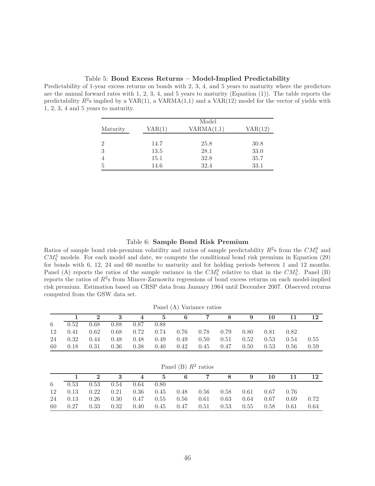Table 5: Bond Excess Returns – Model-Implied Predictability

Predictability of 1-year excess returns on bonds with 2, 3, 4, and 5 years to maturity where the predictors are the annual forward rates with  $1, 2, 3, 4$ , and  $5$  years to maturity (Equation  $(1)$ ). The table reports the predictability  $R^2$ s implied by a VAR(1), a VARMA(1,1) and a VAR(12) model for the vector of yields with 1, 2, 3, 4 and 5 years to maturity.

|                |        | Model      |         |
|----------------|--------|------------|---------|
| Maturity       | VAR(1) | VARMA(1,1) | VAR(12) |
|                |        |            |         |
| $\overline{2}$ | 14.7   | 25.8       | 30.8    |
| 3              | 13.5   | 28.1       | 33.0    |
| $\overline{4}$ | 15.1   | 32.8       | 35.7    |
| 5              | 14.6   | 32.4       | 33.1    |

#### Table 6: Sample Bond Risk Premium

Ratios of sample bond risk-premium volatility and ratios of sample predictability  $R^2$ s from the  $CM_5^0$  and  $CM_5^5$  models. For each model and date, we compute the conditional bond risk premium in Equation (29) for bonds with 6, 12, 24 and 60 months to maturity and for holding periods between 1 and 12 months. Panel (A) reports the ratios of the sample variance in the  $CM_5^0$  relative to that in the  $CM_5^5$ . Panel (B) reports the ratios of  $R^2$ s from Mincer-Zarnowitz regressions of bond excess returns on each model-implied risk premium. Estimation based on CRSP data from January 1964 until December 2007. Observed returns computed from the GSW data set.

|    |      |      |                                    |  | $1 \t2 \t3 \t4 \t5 \t6 \t7 \t8 \t9$                                   |  | <b>10</b> |      |      |
|----|------|------|------------------------------------|--|-----------------------------------------------------------------------|--|-----------|------|------|
| 6  |      |      | $0.52$ $0.68$ $0.88$ $0.87$ $0.88$ |  |                                                                       |  |           |      |      |
|    |      |      |                                    |  | $12$ 0.41 0.62 0.68 0.72 0.74 0.76 0.78 0.79 0.80 0.81 0.82           |  |           |      |      |
| 24 | 0.32 |      |                                    |  | $0.44$ $0.48$ $0.48$ $0.49$ $0.49$ $0.50$ $0.51$ $0.52$ $0.53$ $0.54$ |  |           |      | 0.55 |
| 60 | 0.18 | 0.31 |                                    |  | $0.36$ $0.38$ $0.40$ $0.42$ $0.45$ $0.47$ $0.50$                      |  | 0.53      | 0.56 | 0.59 |

| Panel (B) $R^2$ ratios |  |  |  |
|------------------------|--|--|--|
|------------------------|--|--|--|

|    |  |                              |  |  | $1 \quad 2 \quad 3 \quad 4 \quad 5 \quad 6 \quad 7 \quad 8 \quad 9 \quad 10 \quad 11 \quad 12$ |      |
|----|--|------------------------------|--|--|------------------------------------------------------------------------------------------------|------|
|    |  | $6$ 0.53 0.53 0.54 0.64 0.80 |  |  |                                                                                                |      |
|    |  |                              |  |  | 12  0.13  0.22  0.21  0.36  0.45  0.48  0.56  0.58  0.61  0.67  0.76                           |      |
|    |  |                              |  |  | 24  0.13  0.26  0.30  0.47  0.55  0.56  0.61  0.63  0.64  0.67  0.69                           | 0.72 |
| 60 |  |                              |  |  | $0.27$ $0.33$ $0.32$ $0.40$ $0.45$ $0.47$ $0.51$ $0.53$ $0.55$ $0.58$ $0.61$                   | 0.64 |